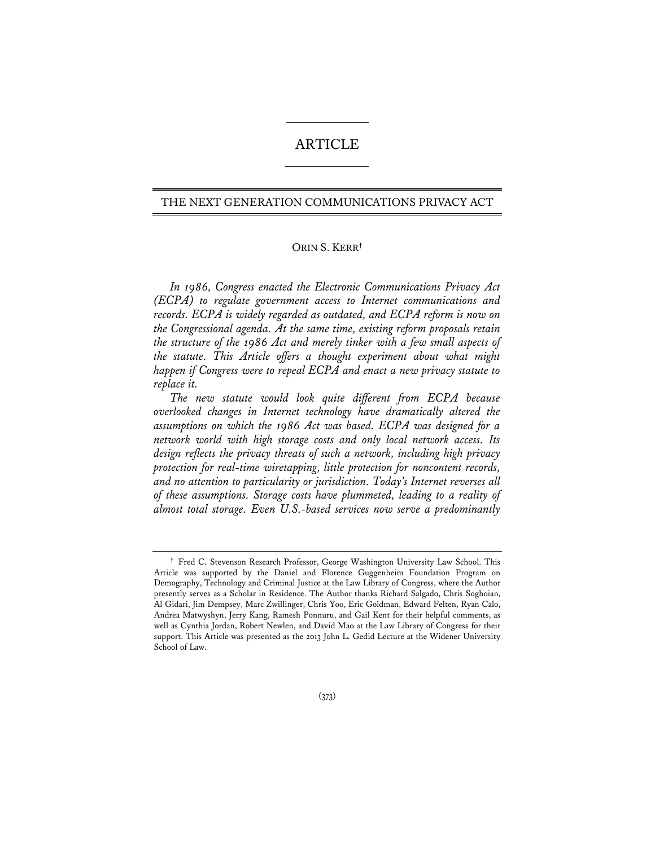# ARTICLE

#### THE NEXT GENERATION COMMUNICATIONS PRIVACY ACT

# ORIN S. KERR**†**

*In 1986, Congress enacted the Electronic Communications Privacy Act (ECPA) to regulate government access to Internet communications and records. ECPA is widely regarded as outdated, and ECPA reform is now on the Congressional agenda. At the same time, existing reform proposals retain the structure of the 1986 Act and merely tinker with a few small aspects of the statute. This Article offers a thought experiment about what might happen if Congress were to repeal ECPA and enact a new privacy statute to replace it.* 

*The new statute would look quite different from ECPA because overlooked changes in Internet technology have dramatically altered the assumptions on which the 1986 Act was based. ECPA was designed for a network world with high storage costs and only local network access. Its design reflects the privacy threats of such a network, including high privacy protection for real-time wiretapping, little protection for noncontent records, and no attention to particularity or jurisdiction. Today's Internet reverses all of these assumptions. Storage costs have plummeted, leading to a reality of almost total storage. Even U.S.-based services now serve a predominantly* 

**<sup>†</sup>** Fred C. Stevenson Research Professor, George Washington University Law School. This Article was supported by the Daniel and Florence Guggenheim Foundation Program on Demography, Technology and Criminal Justice at the Law Library of Congress, where the Author presently serves as a Scholar in Residence. The Author thanks Richard Salgado, Chris Soghoian, Al Gidari, Jim Dempsey, Marc Zwillinger, Chris Yoo, Eric Goldman, Edward Felten, Ryan Calo, Andrea Matwyshyn, Jerry Kang, Ramesh Ponnuru, and Gail Kent for their helpful comments, as well as Cynthia Jordan, Robert Newlen, and David Mao at the Law Library of Congress for their support. This Article was presented as the 2013 John L. Gedid Lecture at the Widener University School of Law.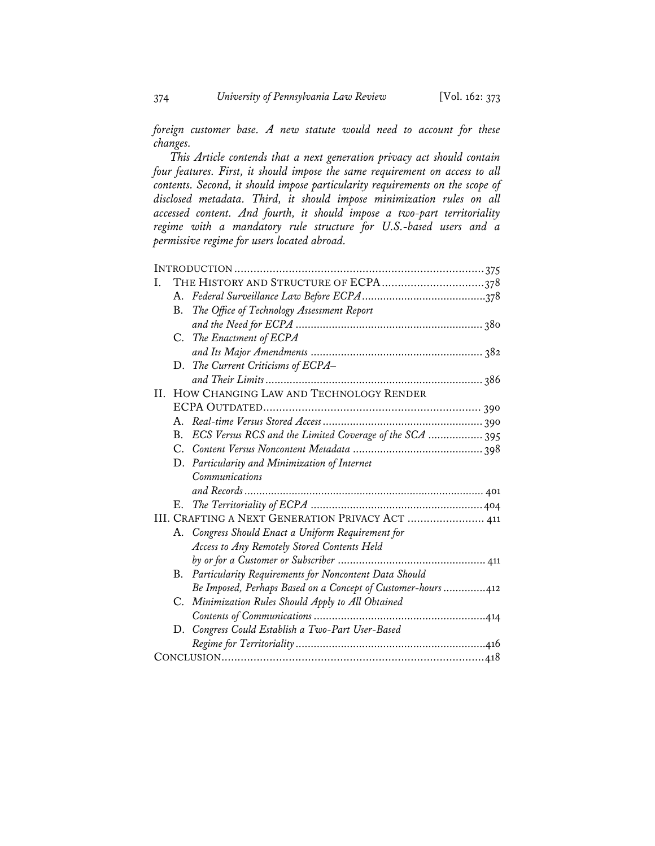*foreign customer base. A new statute would need to account for these changes.* 

*This Article contends that a next generation privacy act should contain four features. First, it should impose the same requirement on access to all contents. Second, it should impose particularity requirements on the scope of disclosed metadata. Third, it should impose minimization rules on all accessed content. And fourth, it should impose a two-part territoriality regime with a mandatory rule structure for U.S.-based users and a permissive regime for users located abroad.* 

| Ι. |    | THE HISTORY AND STRUCTURE OF ECPA378                         |  |
|----|----|--------------------------------------------------------------|--|
|    | A. |                                                              |  |
|    | В. | The Office of Technology Assessment Report                   |  |
|    |    |                                                              |  |
|    |    | C. The Enactment of ECPA                                     |  |
|    |    |                                                              |  |
|    |    | D. The Current Criticisms of ECPA-                           |  |
|    |    |                                                              |  |
|    |    | II. HOW CHANGING LAW AND TECHNOLOGY RENDER                   |  |
|    |    |                                                              |  |
|    |    |                                                              |  |
|    | B. | ECS Versus RCS and the Limited Coverage of the SCA  395      |  |
|    |    |                                                              |  |
|    |    | D. Particularity and Minimization of Internet                |  |
|    |    | Communications                                               |  |
|    |    |                                                              |  |
|    |    |                                                              |  |
|    |    | III. CRAFTING A NEXT GENERATION PRIVACY ACT  411             |  |
|    |    | A. Congress Should Enact a Uniform Requirement for           |  |
|    |    | Access to Any Remotely Stored Contents Held                  |  |
|    |    |                                                              |  |
|    | В. | Particularity Requirements for Noncontent Data Should        |  |
|    |    | Be Imposed, Perhaps Based on a Concept of Customer-hours 412 |  |
|    | C. | Minimization Rules Should Apply to All Obtained              |  |
|    |    |                                                              |  |
|    | D. | Congress Could Establish a Two-Part User-Based               |  |
|    |    |                                                              |  |
|    |    |                                                              |  |
|    |    |                                                              |  |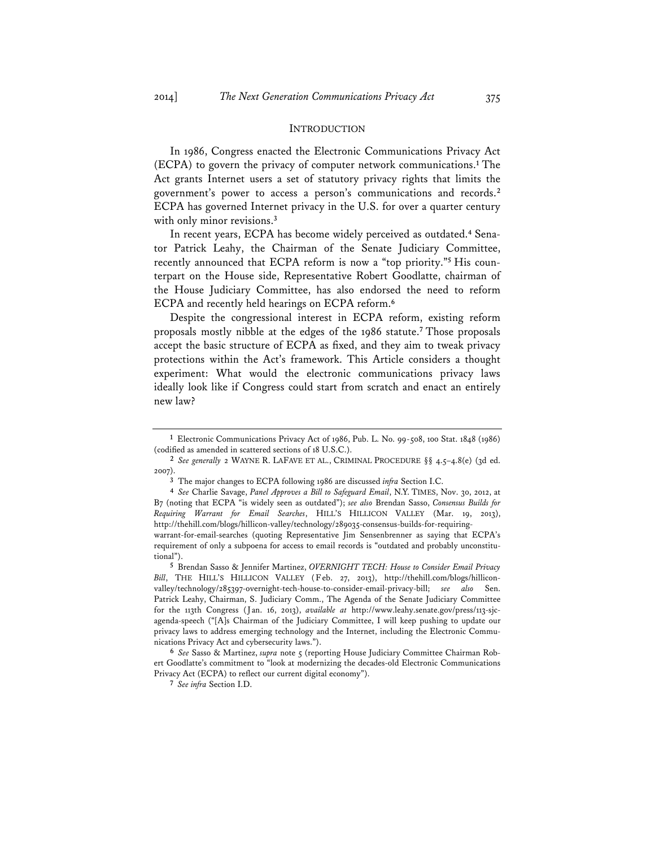#### INTRODUCTION

In 1986, Congress enacted the Electronic Communications Privacy Act (ECPA) to govern the privacy of computer network communications.**<sup>1</sup>** The Act grants Internet users a set of statutory privacy rights that limits the government's power to access a person's communications and records.**<sup>2</sup>** ECPA has governed Internet privacy in the U.S. for over a quarter century with only minor revisions.**<sup>3</sup>**

In recent years, ECPA has become widely perceived as outdated.**4** Senator Patrick Leahy, the Chairman of the Senate Judiciary Committee, recently announced that ECPA reform is now a "top priority."**5** His counterpart on the House side, Representative Robert Goodlatte, chairman of the House Judiciary Committee, has also endorsed the need to reform ECPA and recently held hearings on ECPA reform.**<sup>6</sup>**

Despite the congressional interest in ECPA reform, existing reform proposals mostly nibble at the edges of the 1986 statute.**<sup>7</sup>** Those proposals accept the basic structure of ECPA as fixed, and they aim to tweak privacy protections within the Act's framework. This Article considers a thought experiment: What would the electronic communications privacy laws ideally look like if Congress could start from scratch and enact an entirely new law?

**<sup>1</sup>** Electronic Communications Privacy Act of 1986, Pub. L. No. 99-508, 100 Stat. 1848 (1986) (codified as amended in scattered sections of 18 U.S.C.).

**<sup>2</sup>** *See generally* 2 WAYNE R. LAFAVE ET AL., CRIMINAL PROCEDURE §§ 4.5–4.8(e) (3d ed. 2007).

**<sup>3</sup>** The major changes to ECPA following 1986 are discussed *infra* Section I.C.

**<sup>4</sup>** *See* Charlie Savage, *Panel Approves a Bill to Safeguard Email*, N.Y. TIMES, Nov. 30, 2012, at B7 (noting that ECPA "is widely seen as outdated"); *see also* Brendan Sasso, *Consensus Builds for Requiring Warrant for Email Searches*, HILL'S HILLICON VALLEY (Mar. 19, 2013), http://thehill.com/blogs/hillicon-valley/technology/289035-consensus-builds-for-requiringwarrant-for-email-searches (quoting Representative Jim Sensenbrenner as saying that ECPA's requirement of only a subpoena for access to email records is "outdated and probably unconstitutional").

**<sup>5</sup>** Brendan Sasso & Jennifer Martinez, *OVERNIGHT TECH: House to Consider Email Privacy Bill*, THE HILL'S HILLICON VALLEY (Feb. 27, 2013), http://thehill.com/blogs/hilliconvalley/technology/285397-overnight-tech-house-to-consider-email-privacy-bill; *see also* Sen. Patrick Leahy, Chairman, S. Judiciary Comm., The Agenda of the Senate Judiciary Committee for the 113th Congress (Jan. 16, 2013), *available at* http://www.leahy.senate.gov/press/113-sjcagenda-speech ("[A]s Chairman of the Judiciary Committee, I will keep pushing to update our privacy laws to address emerging technology and the Internet, including the Electronic Communications Privacy Act and cybersecurity laws.").

**<sup>6</sup>** *See* Sasso & Martinez, *supra* note 5 (reporting House Judiciary Committee Chairman Robert Goodlatte's commitment to "look at modernizing the decades-old Electronic Communications Privacy Act (ECPA) to reflect our current digital economy").

**<sup>7</sup>** *See infra* Section I.D.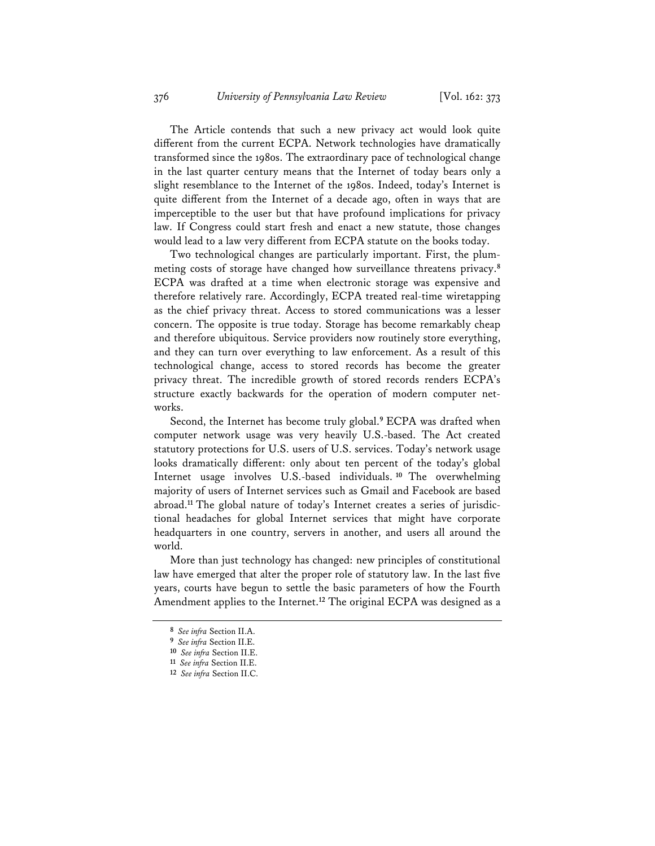The Article contends that such a new privacy act would look quite different from the current ECPA. Network technologies have dramatically transformed since the 1980s. The extraordinary pace of technological change in the last quarter century means that the Internet of today bears only a slight resemblance to the Internet of the 1980s. Indeed, today's Internet is quite different from the Internet of a decade ago, often in ways that are imperceptible to the user but that have profound implications for privacy law. If Congress could start fresh and enact a new statute, those changes would lead to a law very different from ECPA statute on the books today.

Two technological changes are particularly important. First, the plummeting costs of storage have changed how surveillance threatens privacy.**<sup>8</sup>** ECPA was drafted at a time when electronic storage was expensive and therefore relatively rare. Accordingly, ECPA treated real-time wiretapping as the chief privacy threat. Access to stored communications was a lesser concern. The opposite is true today. Storage has become remarkably cheap and therefore ubiquitous. Service providers now routinely store everything, and they can turn over everything to law enforcement. As a result of this technological change, access to stored records has become the greater privacy threat. The incredible growth of stored records renders ECPA's structure exactly backwards for the operation of modern computer networks.

Second, the Internet has become truly global.**<sup>9</sup>** ECPA was drafted when computer network usage was very heavily U.S.-based. The Act created statutory protections for U.S. users of U.S. services. Today's network usage looks dramatically different: only about ten percent of the today's global Internet usage involves U.S.-based individuals. **<sup>10</sup>** The overwhelming majority of users of Internet services such as Gmail and Facebook are based abroad.**11** The global nature of today's Internet creates a series of jurisdictional headaches for global Internet services that might have corporate headquarters in one country, servers in another, and users all around the world.

More than just technology has changed: new principles of constitutional law have emerged that alter the proper role of statutory law. In the last five years, courts have begun to settle the basic parameters of how the Fourth Amendment applies to the Internet.**<sup>12</sup>** The original ECPA was designed as a

**<sup>8</sup>** *See infra* Section II.A.

**<sup>9</sup>** *See infra* Section II.E.

**<sup>10</sup>** *See infra* Section II.E.

**<sup>11</sup>** *See infra* Section II.E.

**<sup>12</sup>** *See infra* Section II.C.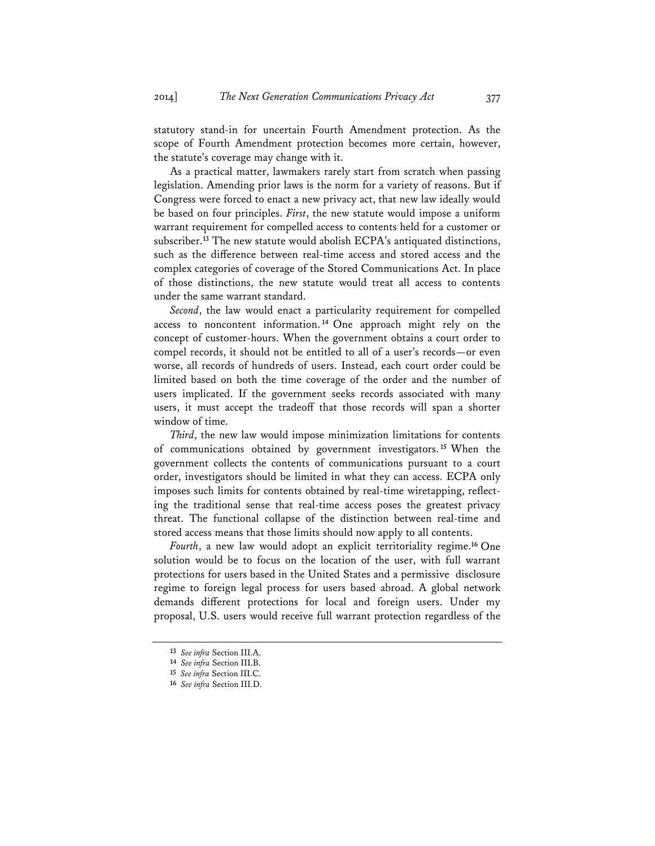statutory stand-in for uncertain Fourth Amendment protection. As the scope of Fourth Amendment protection becomes more certain, however, the statute's coverage may change with it.

As a practical matter, lawmakers rarely start from scratch when passing legislation. Amending prior laws is the norm for a variety of reasons. But if Congress were forced to enact a new privacy act, that new law ideally would be based on four principles. *First*, the new statute would impose a uniform warrant requirement for compelled access to contents held for a customer or subscriber.**<sup>13</sup>** The new statute would abolish ECPA's antiquated distinctions, such as the difference between real-time access and stored access and the complex categories of coverage of the Stored Communications Act. In place of those distinctions, the new statute would treat all access to contents under the same warrant standard.

*Second*, the law would enact a particularity requirement for compelled access to noncontent information. **<sup>14</sup>** One approach might rely on the concept of customer-hours. When the government obtains a court order to compel records, it should not be entitled to all of a user's records—or even worse, all records of hundreds of users. Instead, each court order could be limited based on both the time coverage of the order and the number of users implicated. If the government seeks records associated with many users, it must accept the tradeoff that those records will span a shorter window of time.

*Third*, the new law would impose minimization limitations for contents of communications obtained by government investigators. **<sup>15</sup>** When the government collects the contents of communications pursuant to a court order, investigators should be limited in what they can access. ECPA only imposes such limits for contents obtained by real-time wiretapping, reflecting the traditional sense that real-time access poses the greatest privacy threat. The functional collapse of the distinction between real-time and stored access means that those limits should now apply to all contents.

*Fourth*, a new law would adopt an explicit territoriality regime.**<sup>16</sup>** One solution would be to focus on the location of the user, with full warrant protections for users based in the United States and a permissive disclosure regime to foreign legal process for users based abroad. A global network demands different protections for local and foreign users. Under my proposal, U.S. users would receive full warrant protection regardless of the

**<sup>13</sup>** *See infra* Section III.A.

**<sup>14</sup>** *See infra* Section III.B.

**<sup>15</sup>** *See infra* Section III.C.

**<sup>16</sup>** *See infra* Section III.D.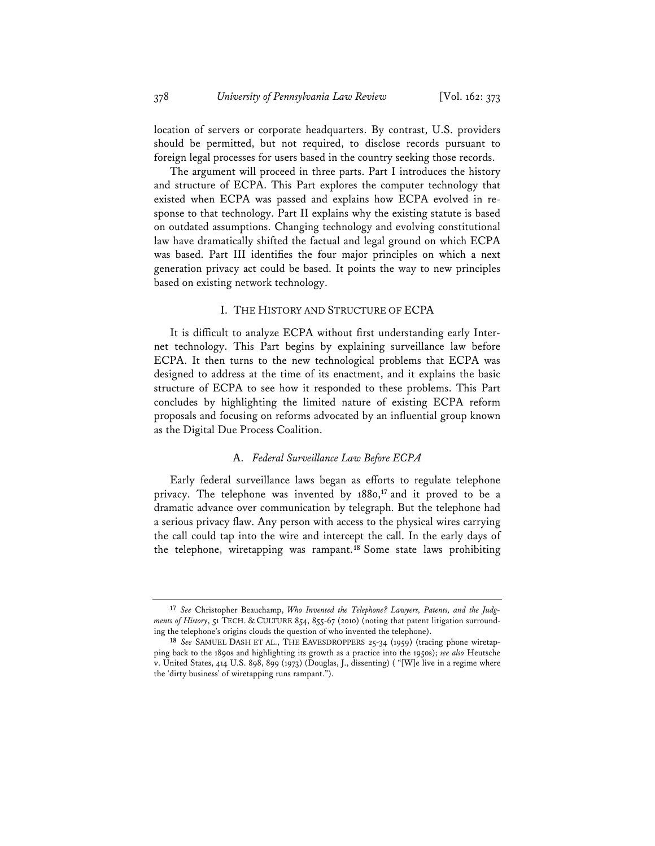location of servers or corporate headquarters. By contrast, U.S. providers should be permitted, but not required, to disclose records pursuant to foreign legal processes for users based in the country seeking those records.

The argument will proceed in three parts. Part I introduces the history and structure of ECPA. This Part explores the computer technology that existed when ECPA was passed and explains how ECPA evolved in response to that technology. Part II explains why the existing statute is based on outdated assumptions. Changing technology and evolving constitutional law have dramatically shifted the factual and legal ground on which ECPA was based. Part III identifies the four major principles on which a next generation privacy act could be based. It points the way to new principles based on existing network technology.

### I. THE HISTORY AND STRUCTURE OF ECPA

It is difficult to analyze ECPA without first understanding early Internet technology. This Part begins by explaining surveillance law before ECPA. It then turns to the new technological problems that ECPA was designed to address at the time of its enactment, and it explains the basic structure of ECPA to see how it responded to these problems. This Part concludes by highlighting the limited nature of existing ECPA reform proposals and focusing on reforms advocated by an influential group known as the Digital Due Process Coalition.

# A. *Federal Surveillance Law Before ECPA*

Early federal surveillance laws began as efforts to regulate telephone privacy. The telephone was invented by 1880,**<sup>17</sup>** and it proved to be a dramatic advance over communication by telegraph. But the telephone had a serious privacy flaw. Any person with access to the physical wires carrying the call could tap into the wire and intercept the call. In the early days of the telephone, wiretapping was rampant.**<sup>18</sup>** Some state laws prohibiting

**<sup>17</sup>** *See* Christopher Beauchamp, *Who Invented the Telephone? Lawyers, Patents, and the Judgments of History*, 51 TECH. & CULTURE 854, 855-67 (2010) (noting that patent litigation surrounding the telephone's origins clouds the question of who invented the telephone).

**<sup>18</sup>** *See* SAMUEL DASH ET AL., THE EAVESDROPPERS 25-34 (1959) (tracing phone wiretapping back to the 1890s and highlighting its growth as a practice into the 1950s); *see also* Heutsche v. United States, 414 U.S. 898, 899 (1973) (Douglas, J., dissenting) ( "[W]e live in a regime where the 'dirty business' of wiretapping runs rampant.").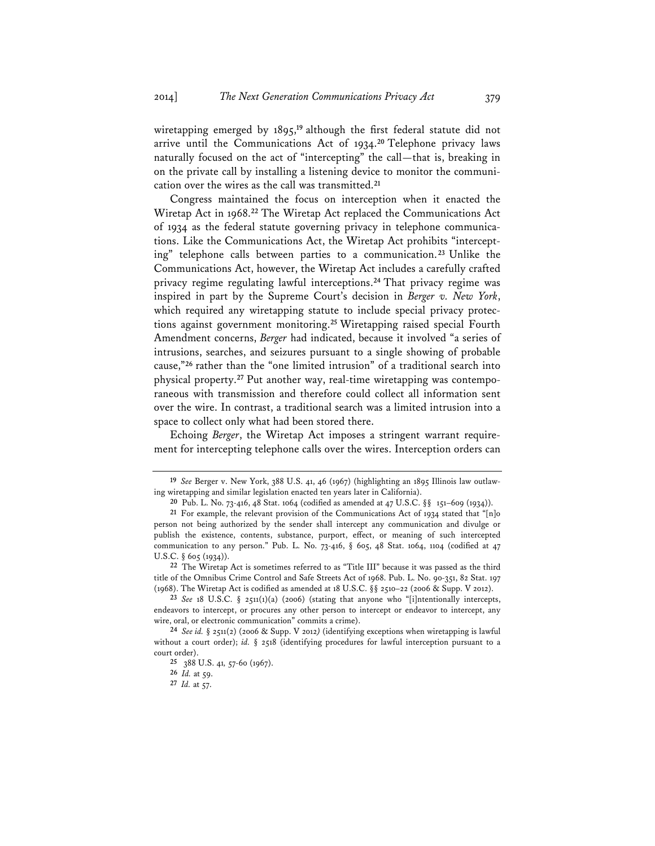wiretapping emerged by 1895,**<sup>19</sup>** although the first federal statute did not arrive until the Communications Act of 1934.**<sup>20</sup>** Telephone privacy laws naturally focused on the act of "intercepting" the call—that is, breaking in on the private call by installing a listening device to monitor the communication over the wires as the call was transmitted.**<sup>21</sup>**

Congress maintained the focus on interception when it enacted the Wiretap Act in 1968.**<sup>22</sup>** The Wiretap Act replaced the Communications Act of 1934 as the federal statute governing privacy in telephone communications. Like the Communications Act, the Wiretap Act prohibits "intercepting" telephone calls between parties to a communication.**<sup>23</sup>** Unlike the Communications Act, however, the Wiretap Act includes a carefully crafted privacy regime regulating lawful interceptions.**<sup>24</sup>** That privacy regime was inspired in part by the Supreme Court's decision in *Berger v. New York*, which required any wiretapping statute to include special privacy protections against government monitoring.**<sup>25</sup>** Wiretapping raised special Fourth Amendment concerns, *Berger* had indicated, because it involved "a series of intrusions, searches, and seizures pursuant to a single showing of probable cause,"**<sup>26</sup>** rather than the "one limited intrusion" of a traditional search into physical property.**27** Put another way, real-time wiretapping was contemporaneous with transmission and therefore could collect all information sent over the wire. In contrast, a traditional search was a limited intrusion into a space to collect only what had been stored there.

Echoing *Berger*, the Wiretap Act imposes a stringent warrant requirement for intercepting telephone calls over the wires. Interception orders can

**<sup>19</sup>** *See* Berger v. New York, 388 U.S. 41, 46 (1967) (highlighting an 1895 Illinois law outlawing wiretapping and similar legislation enacted ten years later in California).

**<sup>20</sup>** Pub. L. No. 73-416, 48 Stat. 1064 (codified as amended at 47 U.S.C. §§ 151–609 (1934)).

**<sup>21</sup>** For example, the relevant provision of the Communications Act of 1934 stated that "[n]o person not being authorized by the sender shall intercept any communication and divulge or publish the existence, contents, substance, purport, effect, or meaning of such intercepted communication to any person." Pub. L. No. 73-416, § 605, 48 Stat. 1064, 1104 (codified at 47 U.S.C. § 605 (1934)).

**<sup>22</sup>** The Wiretap Act is sometimes referred to as "Title III" because it was passed as the third title of the Omnibus Crime Control and Safe Streets Act of 1968. Pub. L. No. 90-351, 82 Stat. 197 (1968). The Wiretap Act is codified as amended at 18 U.S.C.  $\S$  2510–22 (2006 & Supp. V 2012).

**<sup>23</sup>** *See* 18 U.S.C. § 2511(1)(a) (2006) (stating that anyone who "[i]ntentionally intercepts, endeavors to intercept, or procures any other person to intercept or endeavor to intercept, any wire, oral, or electronic communication" commits a crime).

**<sup>24</sup>** *See id.* § 2511(2) (2006 & Supp. V 2012*)* (identifying exceptions when wiretapping is lawful without a court order); *id.* § 2518 (identifying procedures for lawful interception pursuant to a court order).

**<sup>25</sup>** 388 U.S. 41*,* 57-60 (1967).

**<sup>26</sup>** *Id.* at 59.

**<sup>27</sup>** *Id.* at 57.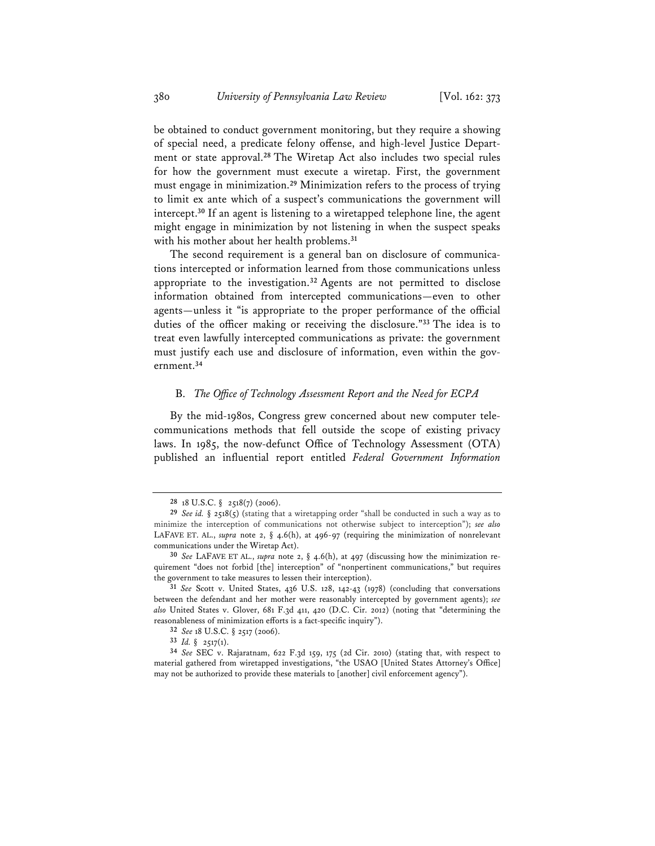be obtained to conduct government monitoring, but they require a showing of special need, a predicate felony offense, and high-level Justice Department or state approval.**<sup>28</sup>** The Wiretap Act also includes two special rules for how the government must execute a wiretap. First, the government must engage in minimization.**<sup>29</sup>** Minimization refers to the process of trying to limit ex ante which of a suspect's communications the government will intercept.**<sup>30</sup>** If an agent is listening to a wiretapped telephone line, the agent might engage in minimization by not listening in when the suspect speaks with his mother about her health problems.**<sup>31</sup>**

The second requirement is a general ban on disclosure of communications intercepted or information learned from those communications unless appropriate to the investigation.**<sup>32</sup>** Agents are not permitted to disclose information obtained from intercepted communications—even to other agents—unless it "is appropriate to the proper performance of the official duties of the officer making or receiving the disclosure."**<sup>33</sup>** The idea is to treat even lawfully intercepted communications as private: the government must justify each use and disclosure of information, even within the government.**<sup>34</sup>**

### B. *The Office of Technology Assessment Report and the Need for ECPA*

By the mid-1980s, Congress grew concerned about new computer telecommunications methods that fell outside the scope of existing privacy laws. In 1985, the now-defunct Office of Technology Assessment (OTA) published an influential report entitled *Federal Government Information* 

**<sup>28</sup>** 18 U.S.C. § 2518(7) (2006).

**<sup>29</sup>** *See id.* § 2518(5) (stating that a wiretapping order "shall be conducted in such a way as to minimize the interception of communications not otherwise subject to interception"); *see also* LAFAVE ET. AL., *supra* note 2, § 4.6(h), at 496-97 (requiring the minimization of nonrelevant communications under the Wiretap Act).

**<sup>30</sup>** *See* LAFAVE ET AL., *supra* note 2, § 4.6(h), at 497 (discussing how the minimization requirement "does not forbid [the] interception" of "nonpertinent communications," but requires the government to take measures to lessen their interception).

**<sup>31</sup>** *See* Scott v. United States, 436 U.S. 128, 142-43 (1978) (concluding that conversations between the defendant and her mother were reasonably intercepted by government agents); *see also* United States v. Glover, 681 F.3d 411, 420 (D.C. Cir. 2012) (noting that "determining the reasonableness of minimization efforts is a fact-specific inquiry").

**<sup>32</sup>** *See* 18 U.S.C. § 2517 (2006).

**<sup>33</sup>** *Id.* § 2517(1).

**<sup>34</sup>** *See* SEC v. Rajaratnam, 622 F.3d 159, 175 (2d Cir. 2010) (stating that, with respect to material gathered from wiretapped investigations, "the USAO [United States Attorney's Office] may not be authorized to provide these materials to [another] civil enforcement agency").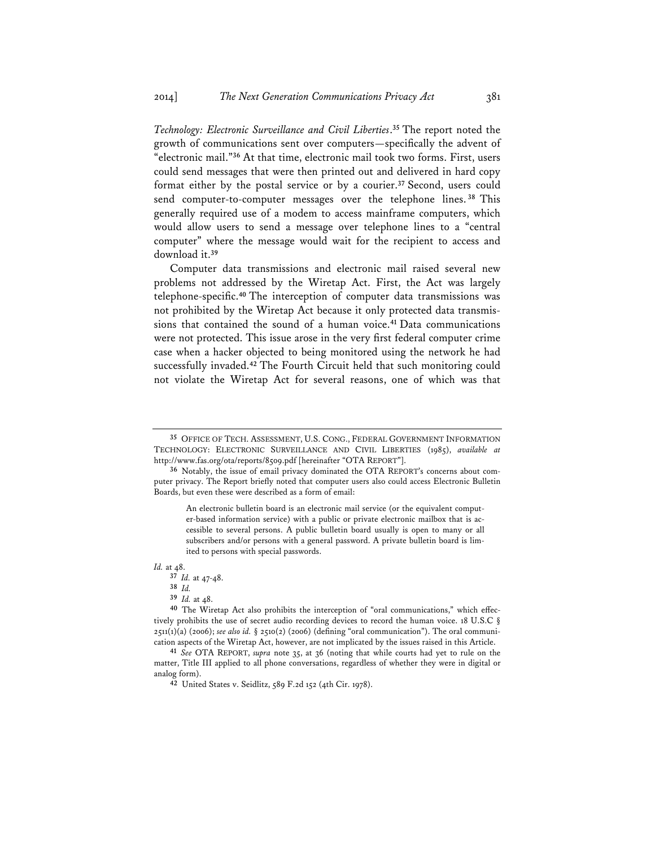*Technology: Electronic Surveillance and Civil Liberties*. **<sup>35</sup>** The report noted the growth of communications sent over computers—specifically the advent of "electronic mail."**<sup>36</sup>** At that time, electronic mail took two forms. First, users could send messages that were then printed out and delivered in hard copy format either by the postal service or by a courier.**<sup>37</sup>** Second, users could send computer-to-computer messages over the telephone lines. **<sup>38</sup>** This generally required use of a modem to access mainframe computers, which would allow users to send a message over telephone lines to a "central computer" where the message would wait for the recipient to access and download it.**<sup>39</sup>**

Computer data transmissions and electronic mail raised several new problems not addressed by the Wiretap Act. First, the Act was largely telephone-specific.**<sup>40</sup>** The interception of computer data transmissions was not prohibited by the Wiretap Act because it only protected data transmissions that contained the sound of a human voice.**<sup>41</sup>** Data communications were not protected. This issue arose in the very first federal computer crime case when a hacker objected to being monitored using the network he had successfully invaded.**<sup>42</sup>** The Fourth Circuit held that such monitoring could not violate the Wiretap Act for several reasons, one of which was that

An electronic bulletin board is an electronic mail service (or the equivalent computer-based information service) with a public or private electronic mailbox that is accessible to several persons. A public bulletin board usually is open to many or all subscribers and/or persons with a general password. A private bulletin board is limited to persons with special passwords.

*Id.* at 48.

**<sup>35</sup>** OFFICE OF TECH. ASSESSMENT, U.S. CONG., FEDERAL GOVERNMENT INFORMATION TECHNOLOGY: ELECTRONIC SURVEILLANCE AND CIVIL LIBERTIES (1985), *available at* http://www.fas.org/ota/reports/8509.pdf [hereinafter "OTA REPORT"].

**<sup>36</sup>** Notably, the issue of email privacy dominated the OTA REPORT's concerns about computer privacy. The Report briefly noted that computer users also could access Electronic Bulletin Boards, but even these were described as a form of email:

**<sup>37</sup>** *Id.* at 47-48.

**<sup>38</sup>** *Id.*

**<sup>39</sup>** *Id.* at 48.

**<sup>40</sup>** The Wiretap Act also prohibits the interception of "oral communications," which effectively prohibits the use of secret audio recording devices to record the human voice. 18 U.S.C § 2511(1)(a) (2006); *see also id.* § 2510(2) (2006) (defining "oral communication"). The oral communication aspects of the Wiretap Act, however, are not implicated by the issues raised in this Article.

**<sup>41</sup>** *See* OTA REPORT, *supra* note 35, at 36 (noting that while courts had yet to rule on the matter, Title III applied to all phone conversations, regardless of whether they were in digital or analog form).

**<sup>42</sup>** United States v. Seidlitz, 589 F.2d 152 (4th Cir. 1978).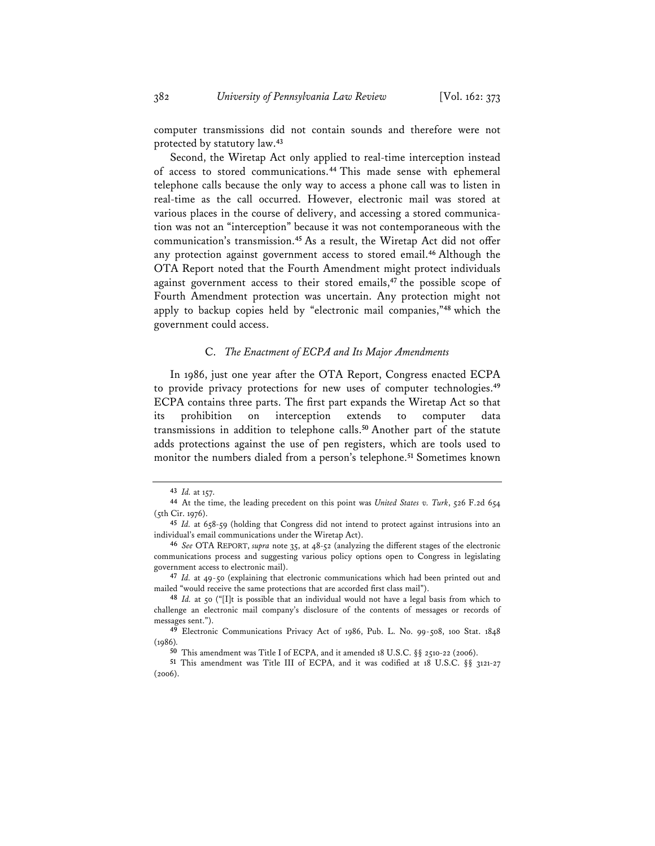computer transmissions did not contain sounds and therefore were not protected by statutory law.**<sup>43</sup>**

Second, the Wiretap Act only applied to real-time interception instead of access to stored communications.**<sup>44</sup>** This made sense with ephemeral telephone calls because the only way to access a phone call was to listen in real-time as the call occurred. However, electronic mail was stored at various places in the course of delivery, and accessing a stored communication was not an "interception" because it was not contemporaneous with the communication's transmission.**<sup>45</sup>** As a result, the Wiretap Act did not offer any protection against government access to stored email.**<sup>46</sup>** Although the OTA Report noted that the Fourth Amendment might protect individuals against government access to their stored emails,**<sup>47</sup>** the possible scope of Fourth Amendment protection was uncertain. Any protection might not apply to backup copies held by "electronic mail companies,"**<sup>48</sup>** which the government could access.

#### C. *The Enactment of ECPA and Its Major Amendments*

In 1986, just one year after the OTA Report, Congress enacted ECPA to provide privacy protections for new uses of computer technologies.**<sup>49</sup>** ECPA contains three parts. The first part expands the Wiretap Act so that prohibition on interception extends to computer data transmissions in addition to telephone calls.**<sup>50</sup>** Another part of the statute adds protections against the use of pen registers, which are tools used to monitor the numbers dialed from a person's telephone.**<sup>51</sup>** Sometimes known

**<sup>43</sup>** *Id.* at 157.

**<sup>44</sup>** At the time, the leading precedent on this point was *United States v. Turk*, 526 F.2d 654 (5th Cir. 1976).

**<sup>45</sup>** *Id.* at 658-59 (holding that Congress did not intend to protect against intrusions into an individual's email communications under the Wiretap Act).

**<sup>46</sup>** *See* OTA REPORT, *supra* note 35, at 48-52 (analyzing the different stages of the electronic communications process and suggesting various policy options open to Congress in legislating government access to electronic mail).

**<sup>47</sup>** *Id.* at 49-50 (explaining that electronic communications which had been printed out and mailed "would receive the same protections that are accorded first class mail").

**<sup>48</sup>** *Id.* at 50 ("[I]t is possible that an individual would not have a legal basis from which to challenge an electronic mail company's disclosure of the contents of messages or records of messages sent.").

**<sup>49</sup>** Electronic Communications Privacy Act of 1986, Pub. L. No. 99-508, 100 Stat. 1848 (1986)*.* 

**<sup>50</sup>** This amendment was Title I of ECPA, and it amended 18 U.S.C. §§ 2510-22 (2006).

**<sup>51</sup>** This amendment was Title III of ECPA, and it was codified at 18 U.S.C. §§ 3121-27 (2006).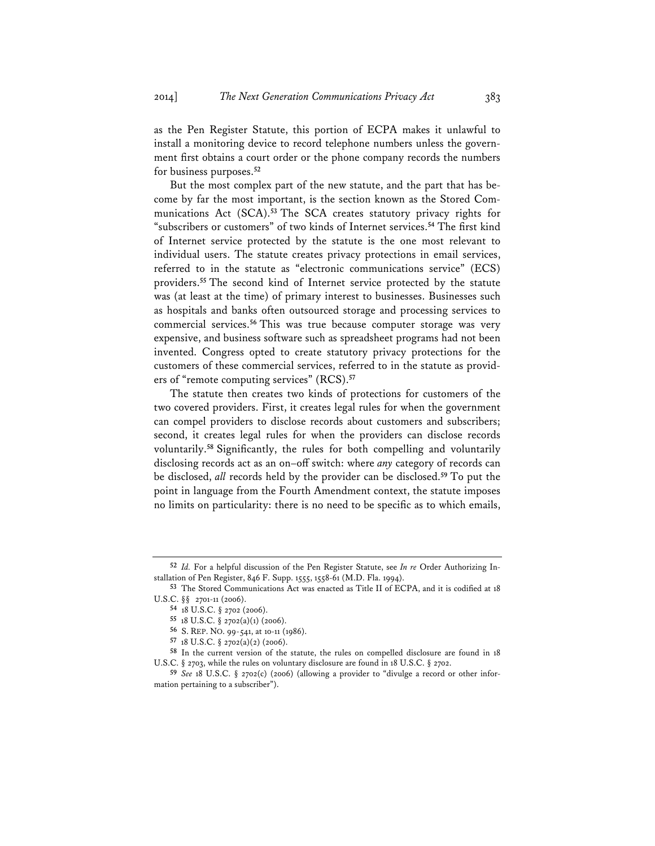as the Pen Register Statute, this portion of ECPA makes it unlawful to install a monitoring device to record telephone numbers unless the government first obtains a court order or the phone company records the numbers for business purposes.**<sup>52</sup>**

But the most complex part of the new statute, and the part that has become by far the most important, is the section known as the Stored Communications Act (SCA).**<sup>53</sup>** The SCA creates statutory privacy rights for "subscribers or customers" of two kinds of Internet services.**<sup>54</sup>** The first kind of Internet service protected by the statute is the one most relevant to individual users. The statute creates privacy protections in email services, referred to in the statute as "electronic communications service" (ECS) providers.**<sup>55</sup>** The second kind of Internet service protected by the statute was (at least at the time) of primary interest to businesses. Businesses such as hospitals and banks often outsourced storage and processing services to commercial services.**<sup>56</sup>** This was true because computer storage was very expensive, and business software such as spreadsheet programs had not been invented. Congress opted to create statutory privacy protections for the customers of these commercial services, referred to in the statute as providers of "remote computing services" (RCS).**<sup>57</sup>**

The statute then creates two kinds of protections for customers of the two covered providers. First, it creates legal rules for when the government can compel providers to disclose records about customers and subscribers; second, it creates legal rules for when the providers can disclose records voluntarily.**<sup>58</sup>** Significantly, the rules for both compelling and voluntarily disclosing records act as an on–off switch: where *any* category of records can be disclosed, *all* records held by the provider can be disclosed.**<sup>59</sup>** To put the point in language from the Fourth Amendment context, the statute imposes no limits on particularity: there is no need to be specific as to which emails,

**<sup>52</sup>** *Id.* For a helpful discussion of the Pen Register Statute, see *In re* Order Authorizing Installation of Pen Register, 846 F. Supp. 1555, 1558-61 (M.D. Fla. 1994).

**<sup>53</sup>** The Stored Communications Act was enacted as Title II of ECPA, and it is codified at 18 U.S.C. §§ 2701-11 (2006).

**<sup>54</sup>** 18 U.S.C. § 2702 (2006).

**<sup>55</sup>** 18 U.S.C. § 2702(a)(1) (2006).

**<sup>56</sup>** S. REP. NO. 99-541, at 10-11 (1986).

**<sup>57</sup>** 18 U.S.C. § 2702(a)(2) (2006).

**<sup>58</sup>** In the current version of the statute, the rules on compelled disclosure are found in 18 U.S.C. § 2703, while the rules on voluntary disclosure are found in 18 U.S.C. § 2702.

**<sup>59</sup>** *See* 18 U.S.C. § 2702(c) (2006) (allowing a provider to "divulge a record or other information pertaining to a subscriber").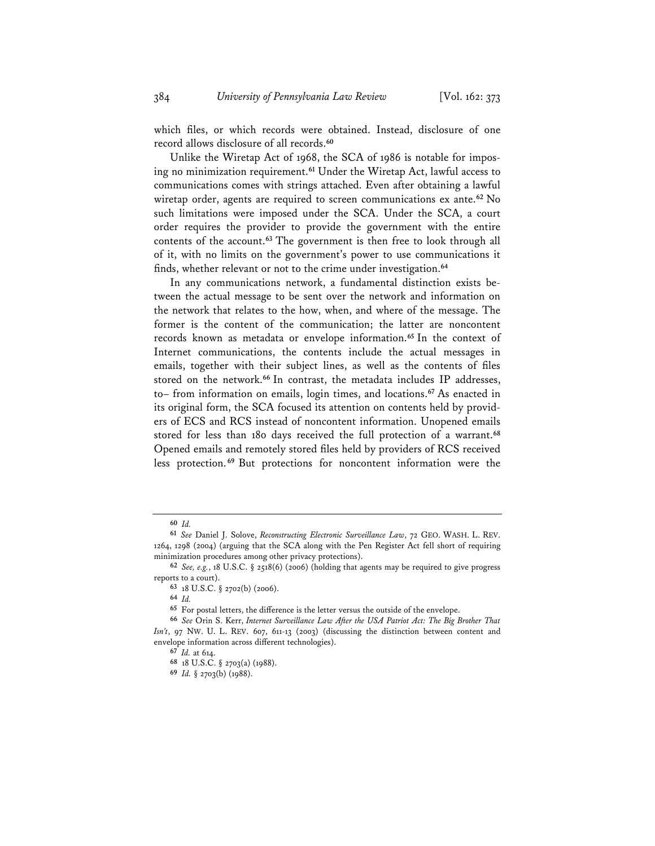which files, or which records were obtained. Instead, disclosure of one record allows disclosure of all records.**<sup>60</sup>**

Unlike the Wiretap Act of 1968, the SCA of 1986 is notable for imposing no minimization requirement.**<sup>61</sup>** Under the Wiretap Act, lawful access to communications comes with strings attached. Even after obtaining a lawful wiretap order, agents are required to screen communications ex ante.**<sup>62</sup>** No such limitations were imposed under the SCA. Under the SCA, a court order requires the provider to provide the government with the entire contents of the account.**<sup>63</sup>** The government is then free to look through all of it, with no limits on the government's power to use communications it finds, whether relevant or not to the crime under investigation.**<sup>64</sup>**

In any communications network, a fundamental distinction exists between the actual message to be sent over the network and information on the network that relates to the how, when, and where of the message. The former is the content of the communication; the latter are noncontent records known as metadata or envelope information.**<sup>65</sup>** In the context of Internet communications, the contents include the actual messages in emails, together with their subject lines, as well as the contents of files stored on the network.**<sup>66</sup>** In contrast, the metadata includes IP addresses, to– from information on emails, login times, and locations.**<sup>67</sup>** As enacted in its original form, the SCA focused its attention on contents held by providers of ECS and RCS instead of noncontent information. Unopened emails stored for less than 180 days received the full protection of a warrant.**<sup>68</sup>** Opened emails and remotely stored files held by providers of RCS received less protection. **<sup>69</sup>** But protections for noncontent information were the

**<sup>60</sup>** *Id.*

**<sup>61</sup>** *See* Daniel J. Solove, *Reconstructing Electronic Surveillance Law*, 72 GEO. WASH. L. REV. 1264, 1298 (2004) (arguing that the SCA along with the Pen Register Act fell short of requiring minimization procedures among other privacy protections).

**<sup>62</sup>** *See, e.g.*, 18 U.S.C. § 2518(6) (2006) (holding that agents may be required to give progress reports to a court).

**<sup>63</sup>** 18 U.S.C. § 2702(b) (2006).

**<sup>64</sup>** *Id.*

**<sup>65</sup>** For postal letters, the difference is the letter versus the outside of the envelope.

**<sup>66</sup>** *See* Orin S. Kerr, *Internet Surveillance Law After the USA Patriot Act: The Big Brother That Isn't*, 97 NW. U. L. REV. 607, 611-13 (2003) (discussing the distinction between content and envelope information across different technologies).

**<sup>67</sup>** *Id.* at 614.

**<sup>68</sup>** 18 U.S.C. § 2703(a) (1988).

**<sup>69</sup>** *Id.* § 2703(b) (1988).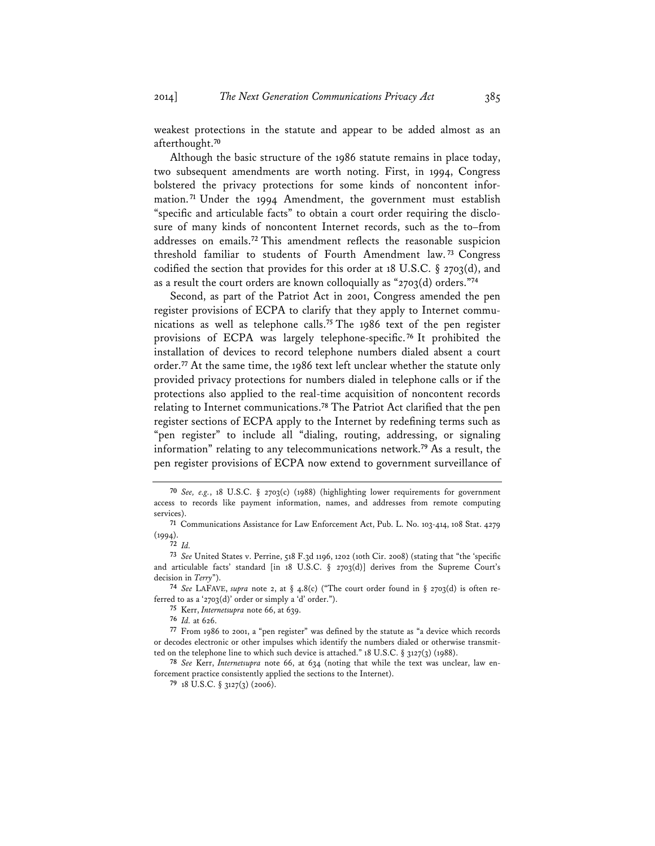weakest protections in the statute and appear to be added almost as an afterthought.**<sup>70</sup>**

Although the basic structure of the 1986 statute remains in place today, two subsequent amendments are worth noting. First, in 1994, Congress bolstered the privacy protections for some kinds of noncontent information. **<sup>71</sup>** Under the 1994 Amendment, the government must establish "specific and articulable facts" to obtain a court order requiring the disclosure of many kinds of noncontent Internet records, such as the to–from addresses on emails.**<sup>72</sup>** This amendment reflects the reasonable suspicion threshold familiar to students of Fourth Amendment law. **<sup>73</sup>** Congress codified the section that provides for this order at 18 U.S.C.  $\S$  2703(d), and as a result the court orders are known colloquially as "2703(d) orders."**<sup>74</sup>**

Second, as part of the Patriot Act in 2001, Congress amended the pen register provisions of ECPA to clarify that they apply to Internet communications as well as telephone calls.**<sup>75</sup>** The 1986 text of the pen register provisions of ECPA was largely telephone-specific. **<sup>76</sup>** It prohibited the installation of devices to record telephone numbers dialed absent a court order.**<sup>77</sup>** At the same time, the 1986 text left unclear whether the statute only provided privacy protections for numbers dialed in telephone calls or if the protections also applied to the real-time acquisition of noncontent records relating to Internet communications.**<sup>78</sup>** The Patriot Act clarified that the pen register sections of ECPA apply to the Internet by redefining terms such as "pen register" to include all "dialing, routing, addressing, or signaling information" relating to any telecommunications network.**<sup>79</sup>** As a result, the pen register provisions of ECPA now extend to government surveillance of

**74** *See* LAFAVE, *supra* note 2, at § 4.8(c) ("The court order found in § 2703(d) is often referred to as a '2703(d)' order or simply a 'd' order.").

**75** Kerr, *Internetsupra* note 66, at 639.

**76** *Id.* at 626.

**77** From 1986 to 2001, a "pen register" was defined by the statute as "a device which records or decodes electronic or other impulses which identify the numbers dialed or otherwise transmitted on the telephone line to which such device is attached." 18 U.S.C. § 3127(3) (1988).

**78** *See* Kerr, *Internetsupra* note 66, at 634 (noting that while the text was unclear, law enforcement practice consistently applied the sections to the Internet).

**79** 18 U.S.C. § 3127(3) (2006).

**<sup>70</sup>** *See, e.g.*, 18 U.S.C. § 2703(c) (1988) (highlighting lower requirements for government access to records like payment information, names, and addresses from remote computing services).

**<sup>71</sup>** Communications Assistance for Law Enforcement Act, Pub. L. No. 103-414, 108 Stat. 4279 (1994).

**<sup>72</sup>** *Id.*

**<sup>73</sup>** *See* United States v. Perrine, 518 F.3d 1196, 1202 (10th Cir. 2008) (stating that "the 'specific and articulable facts' standard [in 18 U.S.C. § 2703(d)] derives from the Supreme Court's decision in *Terry*").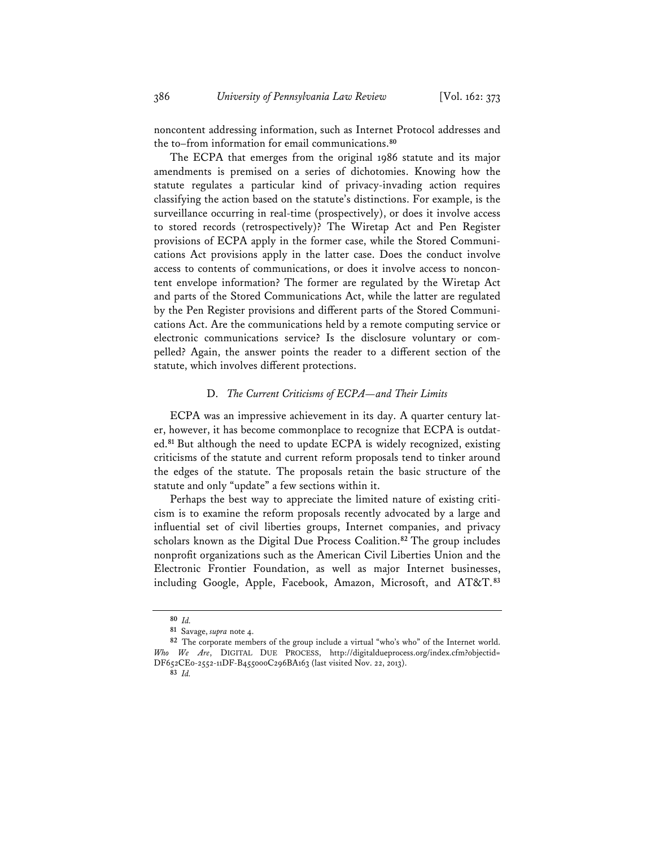noncontent addressing information, such as Internet Protocol addresses and the to–from information for email communications.**<sup>80</sup>**

The ECPA that emerges from the original 1986 statute and its major amendments is premised on a series of dichotomies. Knowing how the statute regulates a particular kind of privacy-invading action requires classifying the action based on the statute's distinctions. For example, is the surveillance occurring in real-time (prospectively), or does it involve access to stored records (retrospectively)? The Wiretap Act and Pen Register provisions of ECPA apply in the former case, while the Stored Communications Act provisions apply in the latter case. Does the conduct involve access to contents of communications, or does it involve access to noncontent envelope information? The former are regulated by the Wiretap Act and parts of the Stored Communications Act, while the latter are regulated by the Pen Register provisions and different parts of the Stored Communications Act. Are the communications held by a remote computing service or electronic communications service? Is the disclosure voluntary or compelled? Again, the answer points the reader to a different section of the statute, which involves different protections.

#### D. *The Current Criticisms of ECPA—and Their Limits*

ECPA was an impressive achievement in its day. A quarter century later, however, it has become commonplace to recognize that ECPA is outdated.**<sup>81</sup>** But although the need to update ECPA is widely recognized, existing criticisms of the statute and current reform proposals tend to tinker around the edges of the statute. The proposals retain the basic structure of the statute and only "update" a few sections within it.

Perhaps the best way to appreciate the limited nature of existing criticism is to examine the reform proposals recently advocated by a large and influential set of civil liberties groups, Internet companies, and privacy scholars known as the Digital Due Process Coalition.**<sup>82</sup>** The group includes nonprofit organizations such as the American Civil Liberties Union and the Electronic Frontier Foundation, as well as major Internet businesses, including Google, Apple, Facebook, Amazon, Microsoft, and AT&T.**<sup>83</sup>**

**<sup>80</sup>** *Id.*

**<sup>81</sup>** Savage, *supra* note 4.

**<sup>82</sup>** The corporate members of the group include a virtual "who's who" of the Internet world. *Who We Are*, DIGITAL DUE PROCESS, http://digitaldueprocess.org/index.cfm?objectid= DF652CE0-2552-11DF-B455000C296BA163 (last visited Nov. 22, 2013).

**<sup>83</sup>** *Id.*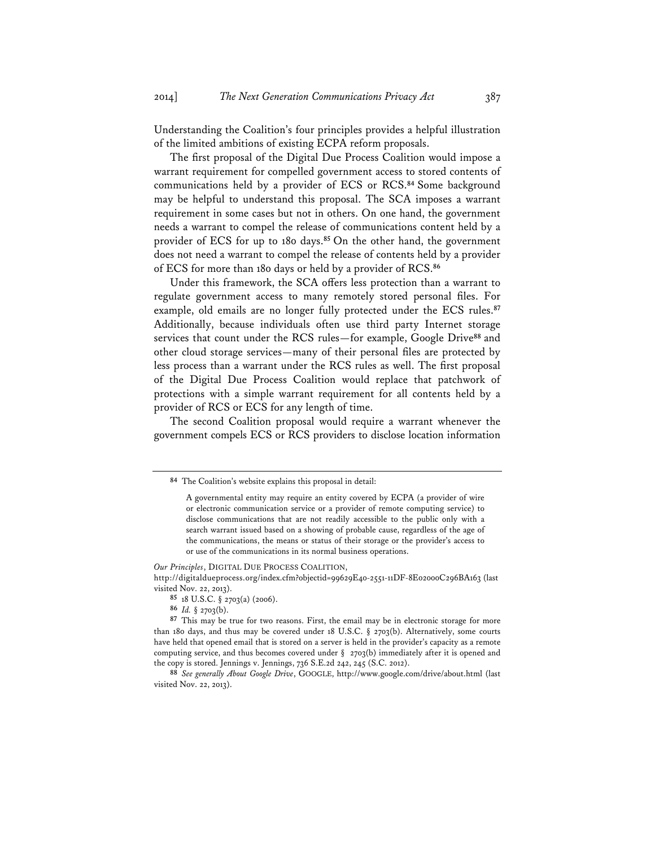Understanding the Coalition's four principles provides a helpful illustration of the limited ambitions of existing ECPA reform proposals.

The first proposal of the Digital Due Process Coalition would impose a warrant requirement for compelled government access to stored contents of communications held by a provider of ECS or RCS.**<sup>84</sup>** Some background may be helpful to understand this proposal. The SCA imposes a warrant requirement in some cases but not in others. On one hand, the government needs a warrant to compel the release of communications content held by a provider of ECS for up to 180 days.**<sup>85</sup>** On the other hand, the government does not need a warrant to compel the release of contents held by a provider of ECS for more than 180 days or held by a provider of RCS.**<sup>86</sup>**

Under this framework, the SCA offers less protection than a warrant to regulate government access to many remotely stored personal files. For example, old emails are no longer fully protected under the ECS rules.**<sup>87</sup>** Additionally, because individuals often use third party Internet storage services that count under the RCS rules—for example, Google Drive**<sup>88</sup>** and other cloud storage services—many of their personal files are protected by less process than a warrant under the RCS rules as well. The first proposal of the Digital Due Process Coalition would replace that patchwork of protections with a simple warrant requirement for all contents held by a provider of RCS or ECS for any length of time.

The second Coalition proposal would require a warrant whenever the government compels ECS or RCS providers to disclose location information

*Our Principles*, DIGITAL DUE PROCESS COALITION,

http://digitaldueprocess.org/index.cfm?objectid=99629E40-2551-11DF-8E02000C296BA163 (last visited Nov. 22, 2013).

**<sup>84</sup>** The Coalition's website explains this proposal in detail:

A governmental entity may require an entity covered by ECPA (a provider of wire or electronic communication service or a provider of remote computing service) to disclose communications that are not readily accessible to the public only with a search warrant issued based on a showing of probable cause, regardless of the age of the communications, the means or status of their storage or the provider's access to or use of the communications in its normal business operations.

**<sup>85</sup>** 18 U.S.C. § 2703(a) (2006).

**<sup>86</sup>** *Id.* § 2703(b).

**<sup>87</sup>** This may be true for two reasons. First, the email may be in electronic storage for more than 180 days, and thus may be covered under 18 U.S.C. § 2703(b). Alternatively, some courts have held that opened email that is stored on a server is held in the provider's capacity as a remote computing service, and thus becomes covered under § 2703(b) immediately after it is opened and the copy is stored. Jennings v. Jennings, 736 S.E.2d 242, 245 (S.C. 2012).

**<sup>88</sup>** *See generally About Google Drive*, GOOGLE, http://www.google.com/drive/about.html (last visited Nov. 22, 2013).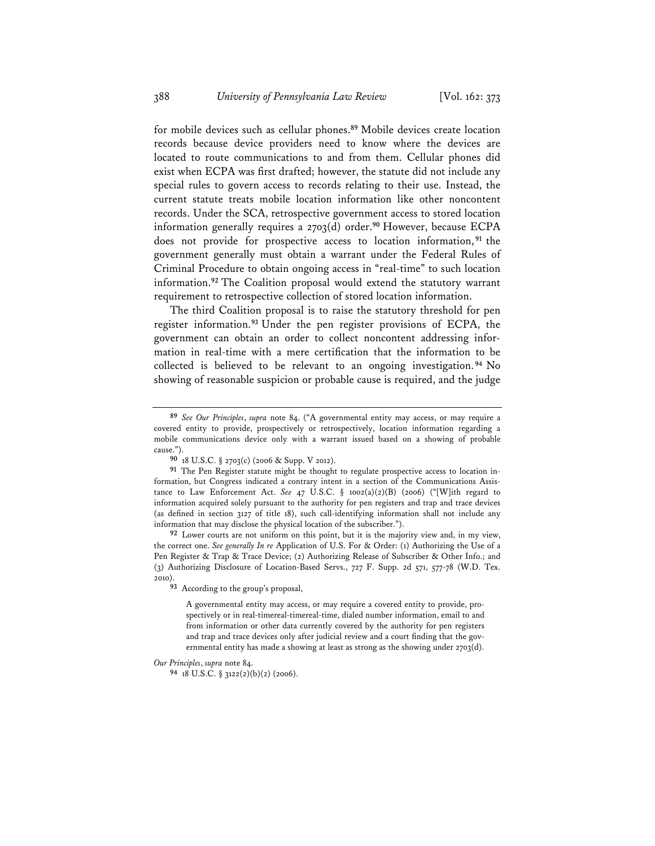for mobile devices such as cellular phones.**<sup>89</sup>** Mobile devices create location records because device providers need to know where the devices are located to route communications to and from them. Cellular phones did exist when ECPA was first drafted; however, the statute did not include any special rules to govern access to records relating to their use. Instead, the current statute treats mobile location information like other noncontent records. Under the SCA, retrospective government access to stored location information generally requires a 2703(d) order.**<sup>90</sup>** However, because ECPA does not provide for prospective access to location information, **<sup>91</sup>** the government generally must obtain a warrant under the Federal Rules of Criminal Procedure to obtain ongoing access in "real-time" to such location information.**<sup>92</sup>** The Coalition proposal would extend the statutory warrant requirement to retrospective collection of stored location information.

The third Coalition proposal is to raise the statutory threshold for pen register information.**<sup>93</sup>** Under the pen register provisions of ECPA, the government can obtain an order to collect noncontent addressing information in real-time with a mere certification that the information to be collected is believed to be relevant to an ongoing investigation. **<sup>94</sup>** No showing of reasonable suspicion or probable cause is required, and the judge

**92** Lower courts are not uniform on this point, but it is the majority view and, in my view, the correct one. *See generally In re* Application of U.S. For & Order: (1) Authorizing the Use of a Pen Register & Trap & Trace Device; (2) Authorizing Release of Subscriber & Other Info.; and (3) Authorizing Disclosure of Location-Based Servs., 727 F. Supp. 2d 571, 577-78 (W.D. Tex. 2010).

**93** According to the group's proposal,

A governmental entity may access, or may require a covered entity to provide, prospectively or in real-timereal-timereal-time, dialed number information, email to and from information or other data currently covered by the authority for pen registers and trap and trace devices only after judicial review and a court finding that the governmental entity has made a showing at least as strong as the showing under 2703(d).

*Our Principles*, *supra* note 84.

**94** 18 U.S.C. § 3122(2)(b)(2) (2006).

**<sup>89</sup>** *See Our Principles*, *supra* note 84. ("A governmental entity may access, or may require a covered entity to provide, prospectively or retrospectively, location information regarding a mobile communications device only with a warrant issued based on a showing of probable cause.").

**<sup>90</sup>** 18 U.S.C. § 2703(c) (2006 & Supp. V 2012).

<sup>&</sup>lt;sup>91</sup> The Pen Register statute might be thought to regulate prospective access to location information, but Congress indicated a contrary intent in a section of the Communications Assistance to Law Enforcement Act. *See* 47 U.S.C. § 1002(a)(2)(B) (2006) ("[W]ith regard to information acquired solely pursuant to the authority for pen registers and trap and trace devices (as defined in section 3127 of title 18), such call-identifying information shall not include any information that may disclose the physical location of the subscriber.").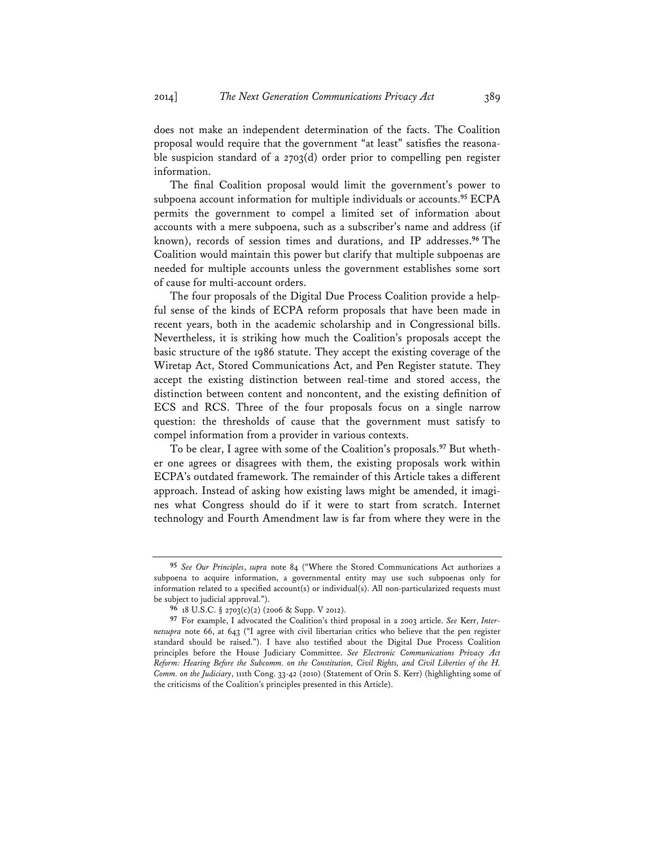does not make an independent determination of the facts. The Coalition proposal would require that the government "at least" satisfies the reasonable suspicion standard of a 2703(d) order prior to compelling pen register information.

The final Coalition proposal would limit the government's power to subpoena account information for multiple individuals or accounts.**<sup>95</sup>** ECPA permits the government to compel a limited set of information about accounts with a mere subpoena, such as a subscriber's name and address (if known), records of session times and durations, and IP addresses.**<sup>96</sup>** The Coalition would maintain this power but clarify that multiple subpoenas are needed for multiple accounts unless the government establishes some sort of cause for multi-account orders.

The four proposals of the Digital Due Process Coalition provide a helpful sense of the kinds of ECPA reform proposals that have been made in recent years, both in the academic scholarship and in Congressional bills. Nevertheless, it is striking how much the Coalition's proposals accept the basic structure of the 1986 statute. They accept the existing coverage of the Wiretap Act, Stored Communications Act, and Pen Register statute. They accept the existing distinction between real-time and stored access, the distinction between content and noncontent, and the existing definition of ECS and RCS. Three of the four proposals focus on a single narrow question: the thresholds of cause that the government must satisfy to compel information from a provider in various contexts.

To be clear, I agree with some of the Coalition's proposals.**97** But whether one agrees or disagrees with them, the existing proposals work within ECPA's outdated framework. The remainder of this Article takes a different approach. Instead of asking how existing laws might be amended, it imagines what Congress should do if it were to start from scratch. Internet technology and Fourth Amendment law is far from where they were in the

**<sup>95</sup>** *See Our Principles*, *supra* note 84 ("Where the Stored Communications Act authorizes a subpoena to acquire information, a governmental entity may use such subpoenas only for information related to a specified account(s) or individual(s). All non-particularized requests must be subject to judicial approval.").

**<sup>96</sup>** 18 U.S.C. § 2703(c)(2) (2006 & Supp. V 2012).

**<sup>97</sup>** For example, I advocated the Coalition's third proposal in a 2003 article. *See* Kerr, *Internetsupra* note 66, at 643 ("I agree with civil libertarian critics who believe that the pen register standard should be raised."). I have also testified about the Digital Due Process Coalition principles before the House Judiciary Committee. *See Electronic Communications Privacy Act Reform: Hearing Before the Subcomm. on the Constitution, Civil Rights, and Civil Liberties of the H. Comm. on the Judiciary*, 111th Cong. 33-42 (2010) (Statement of Orin S. Kerr) (highlighting some of the criticisms of the Coalition's principles presented in this Article).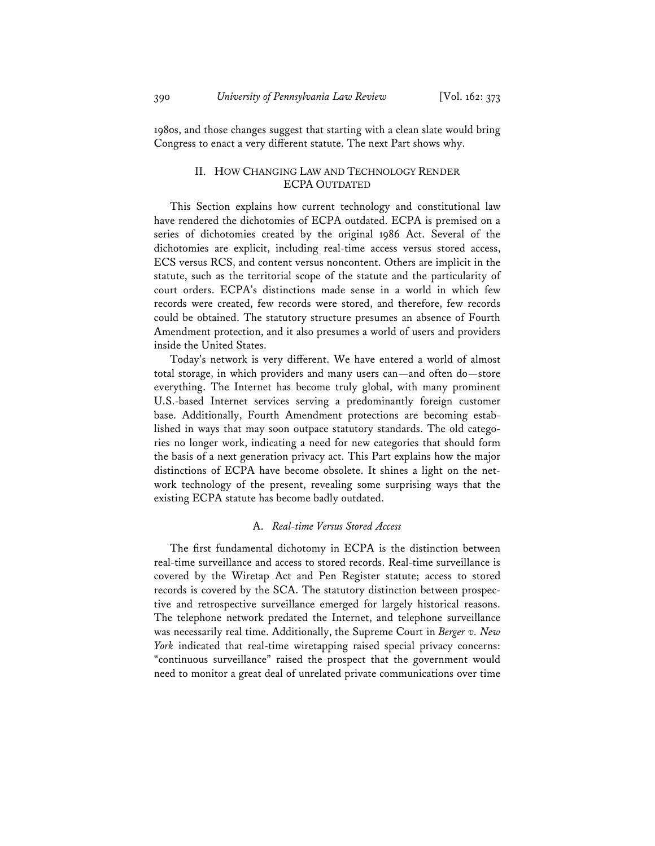1980s, and those changes suggest that starting with a clean slate would bring Congress to enact a very different statute. The next Part shows why.

### II. HOW CHANGING LAW AND TECHNOLOGY RENDER ECPA OUTDATED

This Section explains how current technology and constitutional law have rendered the dichotomies of ECPA outdated. ECPA is premised on a series of dichotomies created by the original 1986 Act. Several of the dichotomies are explicit, including real-time access versus stored access, ECS versus RCS, and content versus noncontent. Others are implicit in the statute, such as the territorial scope of the statute and the particularity of court orders. ECPA's distinctions made sense in a world in which few records were created, few records were stored, and therefore, few records could be obtained. The statutory structure presumes an absence of Fourth Amendment protection, and it also presumes a world of users and providers inside the United States.

Today's network is very different. We have entered a world of almost total storage, in which providers and many users can—and often do—store everything. The Internet has become truly global, with many prominent U.S.-based Internet services serving a predominantly foreign customer base. Additionally, Fourth Amendment protections are becoming established in ways that may soon outpace statutory standards. The old categories no longer work, indicating a need for new categories that should form the basis of a next generation privacy act. This Part explains how the major distinctions of ECPA have become obsolete. It shines a light on the network technology of the present, revealing some surprising ways that the existing ECPA statute has become badly outdated.

# A. *Real-time Versus Stored Access*

The first fundamental dichotomy in ECPA is the distinction between real-time surveillance and access to stored records. Real-time surveillance is covered by the Wiretap Act and Pen Register statute; access to stored records is covered by the SCA. The statutory distinction between prospective and retrospective surveillance emerged for largely historical reasons. The telephone network predated the Internet, and telephone surveillance was necessarily real time. Additionally, the Supreme Court in *Berger v. New York* indicated that real-time wiretapping raised special privacy concerns: "continuous surveillance" raised the prospect that the government would need to monitor a great deal of unrelated private communications over time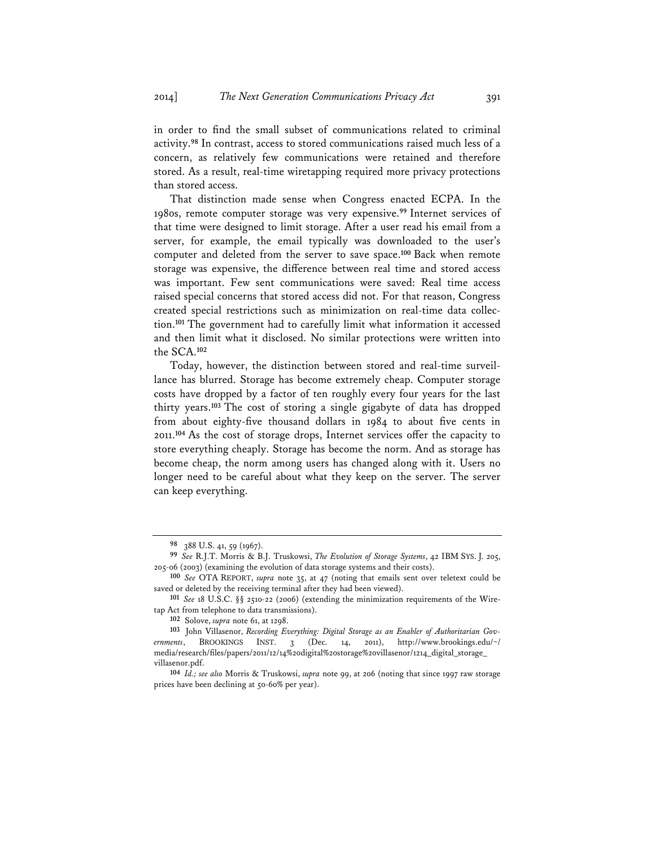in order to find the small subset of communications related to criminal activity.**<sup>98</sup>** In contrast, access to stored communications raised much less of a concern, as relatively few communications were retained and therefore stored. As a result, real-time wiretapping required more privacy protections than stored access.

That distinction made sense when Congress enacted ECPA. In the 1980s, remote computer storage was very expensive.**<sup>99</sup>** Internet services of that time were designed to limit storage. After a user read his email from a server, for example, the email typically was downloaded to the user's computer and deleted from the server to save space.**<sup>100</sup>** Back when remote storage was expensive, the difference between real time and stored access was important. Few sent communications were saved: Real time access raised special concerns that stored access did not. For that reason, Congress created special restrictions such as minimization on real-time data collection.**<sup>101</sup>** The government had to carefully limit what information it accessed and then limit what it disclosed. No similar protections were written into the SCA.**<sup>102</sup>**

Today, however, the distinction between stored and real-time surveillance has blurred. Storage has become extremely cheap. Computer storage costs have dropped by a factor of ten roughly every four years for the last thirty years.**<sup>103</sup>** The cost of storing a single gigabyte of data has dropped from about eighty-five thousand dollars in 1984 to about five cents in 2011.**<sup>104</sup>** As the cost of storage drops, Internet services offer the capacity to store everything cheaply. Storage has become the norm. And as storage has become cheap, the norm among users has changed along with it. Users no longer need to be careful about what they keep on the server. The server can keep everything.

**<sup>98</sup>** 388 U.S. 41, 59 (1967).

**<sup>99</sup>** *See* R.J.T. Morris & B.J. Truskowsi, *The Evolution of Storage Systems*, 42 IBM SYS. J. 205, 205-06 (2003) (examining the evolution of data storage systems and their costs).

**<sup>100</sup>** *See* OTA REPORT, *supra* note 35, at 47 (noting that emails sent over teletext could be saved or deleted by the receiving terminal after they had been viewed).

**<sup>101</sup>** *See* 18 U.S.C. §§ 2510-22 (2006) (extending the minimization requirements of the Wiretap Act from telephone to data transmissions).

**<sup>102</sup>** Solove, *supra* note 61, at 1298.

**<sup>103</sup>** John Villasenor, *Recording Everything: Digital Storage as an Enabler of Authoritarian Governments*, BROOKINGS INST. 3 (Dec. 14, 2011), http://www.brookings.edu/~/ media/research/files/papers/2011/12/14%20digital%20storage%20villasenor/1214\_digital\_storage\_ villasenor.pdf.

**<sup>104</sup>** *Id.; see also* Morris & Truskowsi, *supra* note 99, at 206 (noting that since 1997 raw storage prices have been declining at 50-60% per year).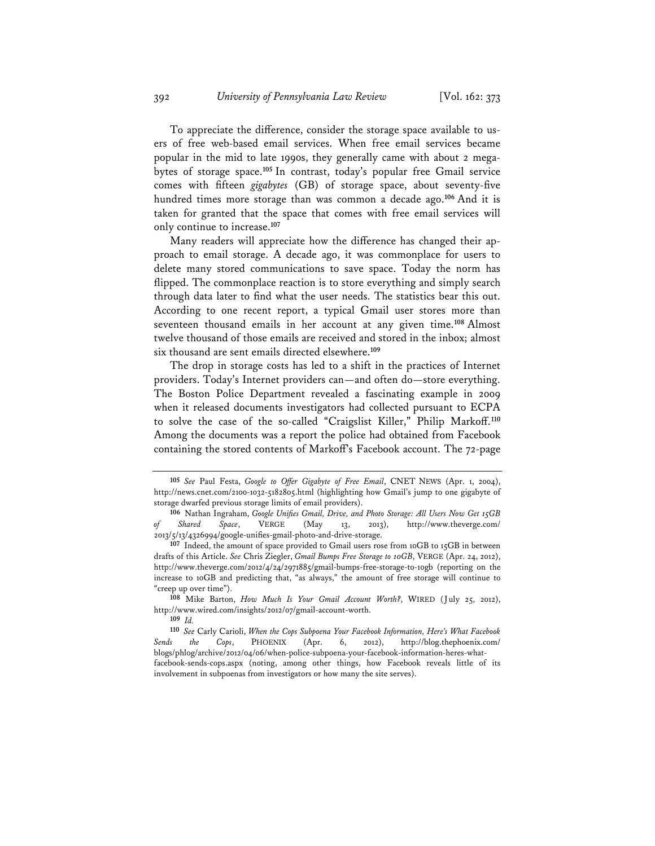To appreciate the difference, consider the storage space available to users of free web-based email services. When free email services became popular in the mid to late 1990s, they generally came with about 2 megabytes of storage space.**<sup>105</sup>** In contrast, today's popular free Gmail service comes with fifteen *gigabytes* (GB) of storage space, about seventy-five hundred times more storage than was common a decade ago.**<sup>106</sup>** And it is taken for granted that the space that comes with free email services will only continue to increase.**<sup>107</sup>**

Many readers will appreciate how the difference has changed their approach to email storage. A decade ago, it was commonplace for users to delete many stored communications to save space. Today the norm has flipped. The commonplace reaction is to store everything and simply search through data later to find what the user needs. The statistics bear this out. According to one recent report, a typical Gmail user stores more than seventeen thousand emails in her account at any given time.**<sup>108</sup>** Almost twelve thousand of those emails are received and stored in the inbox; almost six thousand are sent emails directed elsewhere.**<sup>109</sup>**

The drop in storage costs has led to a shift in the practices of Internet providers. Today's Internet providers can—and often do—store everything. The Boston Police Department revealed a fascinating example in 2009 when it released documents investigators had collected pursuant to ECPA to solve the case of the so-called "Craigslist Killer," Philip Markoff.**<sup>110</sup>** Among the documents was a report the police had obtained from Facebook containing the stored contents of Markoff's Facebook account. The 72-page

**108** Mike Barton, *How Much Is Your Gmail Account Worth?*, WIRED (July 25, 2012), http://www.wired.com/insights/2012/07/gmail-account-worth.

**<sup>105</sup>** *See* Paul Festa, *Google to Offer Gigabyte of Free Email*, CNET NEWS (Apr. 1, 2004), http://news.cnet.com/2100-1032-5182805.html (highlighting how Gmail's jump to one gigabyte of storage dwarfed previous storage limits of email providers).

**<sup>106</sup>** Nathan Ingraham, *Google Unifies Gmail, Drive, and Photo Storage: All Users Now Get 15GB of Shared Space*, VERGE (May 13, 2013), http://www.theverge.com/ 2013/5/13/4326994/google-unifies-gmail-photo-and-drive-storage.

**<sup>107</sup>** Indeed, the amount of space provided to Gmail users rose from 10GB to 15GB in between drafts of this Article. *See* Chris Ziegler, *Gmail Bumps Free Storage to 10GB*, VERGE (Apr. 24, 2012), http://www.theverge.com/2012/4/24/2971885/gmail-bumps-free-storage-to-10gb (reporting on the increase to 10GB and predicting that, "as always," the amount of free storage will continue to "creep up over time").

**<sup>109</sup>** *Id.*

**<sup>110</sup>** *See* Carly Carioli, *When the Cops Subpoena Your Facebook Information, Here's What Facebook Sends the Cops*, PHOENIX (Apr. 6, 2012), http://blog.thephoenix.com/ blogs/phlog/archive/2012/04/06/when-police-subpoena-your-facebook-information-heres-whatfacebook-sends-cops.aspx (noting, among other things, how Facebook reveals little of its involvement in subpoenas from investigators or how many the site serves).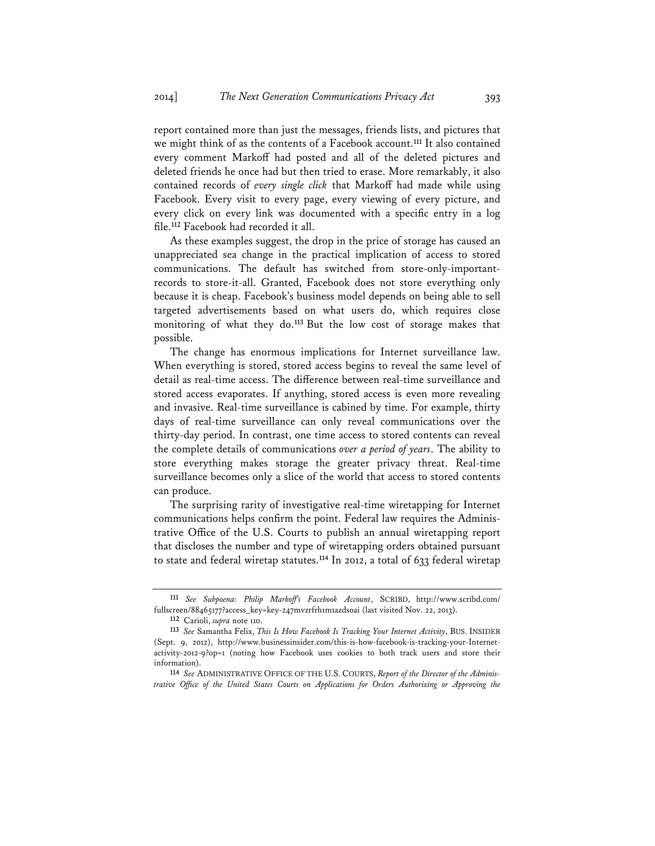report contained more than just the messages, friends lists, and pictures that we might think of as the contents of a Facebook account.**<sup>111</sup>** It also contained every comment Markoff had posted and all of the deleted pictures and deleted friends he once had but then tried to erase. More remarkably, it also contained records of *every single click* that Markoff had made while using Facebook. Every visit to every page, every viewing of every picture, and every click on every link was documented with a specific entry in a log file.**<sup>112</sup>** Facebook had recorded it all.

As these examples suggest, the drop in the price of storage has caused an unappreciated sea change in the practical implication of access to stored communications. The default has switched from store-only-importantrecords to store-it-all. Granted, Facebook does not store everything only because it is cheap. Facebook's business model depends on being able to sell targeted advertisements based on what users do, which requires close monitoring of what they do.**<sup>113</sup>** But the low cost of storage makes that possible.

The change has enormous implications for Internet surveillance law. When everything is stored, stored access begins to reveal the same level of detail as real-time access. The difference between real-time surveillance and stored access evaporates. If anything, stored access is even more revealing and invasive. Real-time surveillance is cabined by time. For example, thirty days of real-time surveillance can only reveal communications over the thirty-day period. In contrast, one time access to stored contents can reveal the complete details of communications *over a period of years*. The ability to store everything makes storage the greater privacy threat. Real-time surveillance becomes only a slice of the world that access to stored contents can produce.

The surprising rarity of investigative real-time wiretapping for Internet communications helps confirm the point. Federal law requires the Administrative Office of the U.S. Courts to publish an annual wiretapping report that discloses the number and type of wiretapping orders obtained pursuant to state and federal wiretap statutes.**<sup>114</sup>** In 2012, a total of 633 federal wiretap

**<sup>111</sup>** *See Subpoena: Philip Markoff's Facebook Account*, SCRIBD, http://www.scribd.com/ fullscreen/88465177?access\_key=key-247mvzrfrh1m1azdsoai (last visited Nov. 22, 2013).

**<sup>112</sup>** Carioli, *supra* note 110.

**<sup>113</sup>** *See* Samantha Felix, *This Is How Facebook Is Tracking Your Internet Activity*, BUS. INSIDER (Sept. 9, 2012), http://www.businessinsider.com/this-is-how-facebook-is-tracking-your-Internetactivity-2012-9?op=1 (noting how Facebook uses cookies to both track users and store their information).

**<sup>114</sup>** *See* ADMINISTRATIVE OFFICE OF THE U.S. COURTS, *Report of the Director of the Administrative Office of the United States Courts on Applications for Orders Authorizing or Approving the*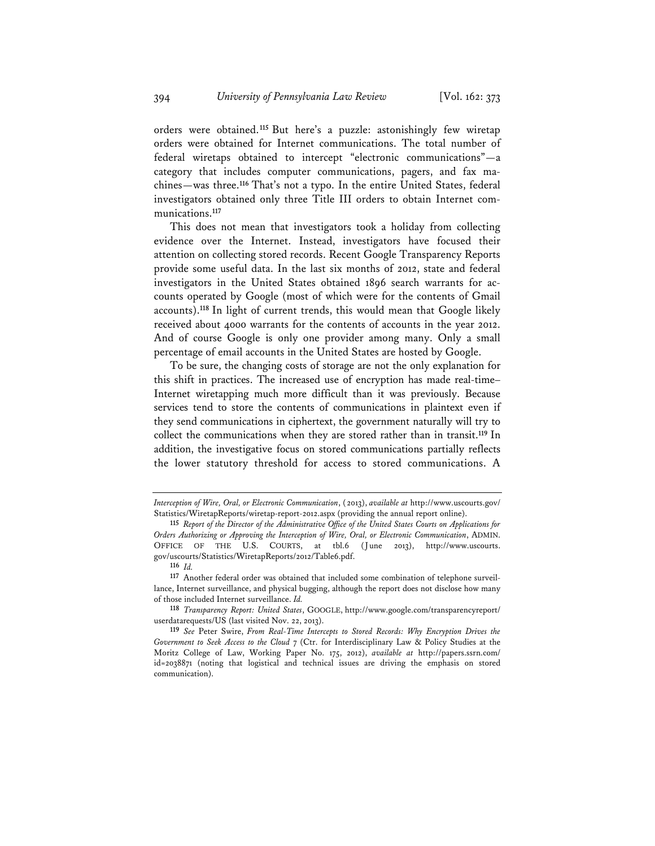orders were obtained.**<sup>115</sup>** But here's a puzzle: astonishingly few wiretap orders were obtained for Internet communications. The total number of federal wiretaps obtained to intercept "electronic communications"—a category that includes computer communications, pagers, and fax machines—was three.**<sup>116</sup>** That's not a typo. In the entire United States, federal investigators obtained only three Title III orders to obtain Internet communications.**<sup>117</sup>**

This does not mean that investigators took a holiday from collecting evidence over the Internet. Instead, investigators have focused their attention on collecting stored records. Recent Google Transparency Reports provide some useful data. In the last six months of 2012, state and federal investigators in the United States obtained 1896 search warrants for accounts operated by Google (most of which were for the contents of Gmail accounts).**<sup>118</sup>** In light of current trends, this would mean that Google likely received about 4000 warrants for the contents of accounts in the year 2012. And of course Google is only one provider among many. Only a small percentage of email accounts in the United States are hosted by Google.

To be sure, the changing costs of storage are not the only explanation for this shift in practices. The increased use of encryption has made real-time– Internet wiretapping much more difficult than it was previously. Because services tend to store the contents of communications in plaintext even if they send communications in ciphertext, the government naturally will try to collect the communications when they are stored rather than in transit.**<sup>119</sup>** In addition, the investigative focus on stored communications partially reflects the lower statutory threshold for access to stored communications. A

*Interception of Wire, Oral, or Electronic Communication*, (2013), *available at* http://www.uscourts.gov/ Statistics/WiretapReports/wiretap-report-2012.aspx (providing the annual report online).

**<sup>115</sup>** *Report of the Director of the Administrative Office of the United States Courts on Applications for Orders Authorizing or Approving the Interception of Wire, Oral, or Electronic Communication*, ADMIN. OFFICE OF THE U.S. COURTS, at tbl.6 (June 2013), http://www.uscourts. gov/uscourts/Statistics/WiretapReports/2012/Table6.pdf.

**<sup>116</sup>** *Id.*

**<sup>117</sup>** Another federal order was obtained that included some combination of telephone surveillance, Internet surveillance, and physical bugging, although the report does not disclose how many of those included Internet surveillance. *Id.*

**<sup>118</sup>** *Transparency Report: United States*, GOOGLE, http://www.google.com/transparencyreport/ userdatarequests/US (last visited Nov. 22, 2013).

**<sup>119</sup>** *See* Peter Swire, *From Real-Time Intercepts to Stored Records: Why Encryption Drives the Government to Seek Access to the Cloud* 7 (Ctr. for Interdisciplinary Law & Policy Studies at the Moritz College of Law, Working Paper No. 175, 2012), *available at* http://papers.ssrn.com/ id=2038871 (noting that logistical and technical issues are driving the emphasis on stored communication).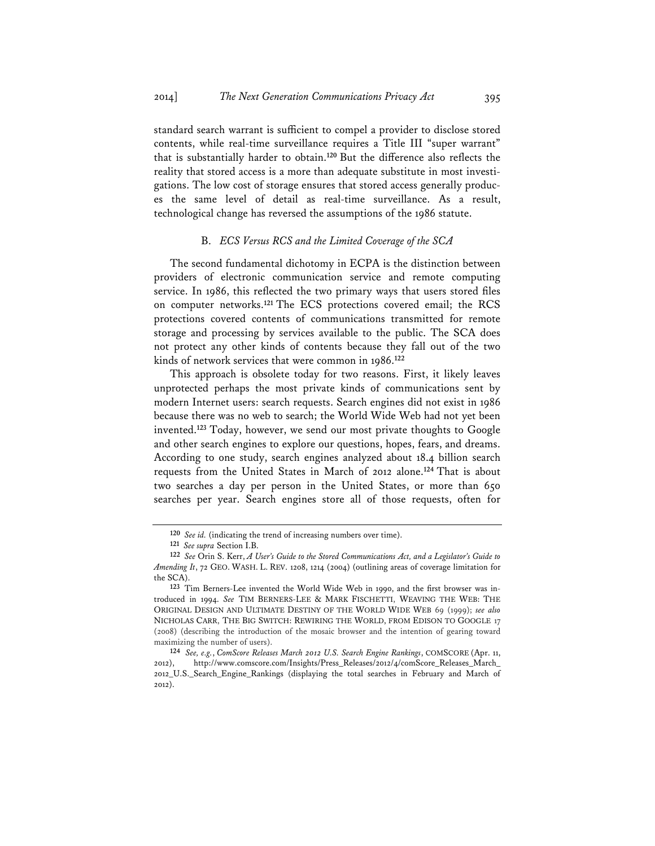standard search warrant is sufficient to compel a provider to disclose stored contents, while real-time surveillance requires a Title III "super warrant" that is substantially harder to obtain.**<sup>120</sup>** But the difference also reflects the reality that stored access is a more than adequate substitute in most investigations. The low cost of storage ensures that stored access generally produces the same level of detail as real-time surveillance. As a result, technological change has reversed the assumptions of the 1986 statute.

#### B. *ECS Versus RCS and the Limited Coverage of the SCA*

The second fundamental dichotomy in ECPA is the distinction between providers of electronic communication service and remote computing service. In 1986, this reflected the two primary ways that users stored files on computer networks.**<sup>121</sup>** The ECS protections covered email; the RCS protections covered contents of communications transmitted for remote storage and processing by services available to the public. The SCA does not protect any other kinds of contents because they fall out of the two kinds of network services that were common in 1986.**<sup>122</sup>**

This approach is obsolete today for two reasons. First, it likely leaves unprotected perhaps the most private kinds of communications sent by modern Internet users: search requests. Search engines did not exist in 1986 because there was no web to search; the World Wide Web had not yet been invented.**<sup>123</sup>** Today, however, we send our most private thoughts to Google and other search engines to explore our questions, hopes, fears, and dreams. According to one study, search engines analyzed about 18.4 billion search requests from the United States in March of 2012 alone.**<sup>124</sup>** That is about two searches a day per person in the United States, or more than 650 searches per year. Search engines store all of those requests, often for

**<sup>120</sup>** *See id.* (indicating the trend of increasing numbers over time).

**<sup>121</sup>** *See supra* Section I.B.

**<sup>122</sup>** *See* Orin S. Kerr, *A User's Guide to the Stored Communications Act, and a Legislator's Guide to Amending It*, 72 GEO. WASH. L. REV. 1208, 1214 (2004) (outlining areas of coverage limitation for the SCA).

**<sup>123</sup>** Tim Berners-Lee invented the World Wide Web in 1990, and the first browser was introduced in 1994. *See* TIM BERNERS-LEE & MARK FISCHETTI, WEAVING THE WEB: THE ORIGINAL DESIGN AND ULTIMATE DESTINY OF THE WORLD WIDE WEB 69 (1999); *see also*  NICHOLAS CARR, THE BIG SWITCH: REWIRING THE WORLD, FROM EDISON TO GOOGLE 17 (2008) (describing the introduction of the mosaic browser and the intention of gearing toward maximizing the number of users).

**<sup>124</sup>** *See, e.g.*, *ComScore Releases March 2012 U.S. Search Engine Rankings*, COMSCORE (Apr. 11, 2012), http://www.comscore.com/Insights/Press\_Releases/2012/4/comScore\_Releases\_March\_ 2012\_U.S.\_Search\_Engine\_Rankings (displaying the total searches in February and March of 2012).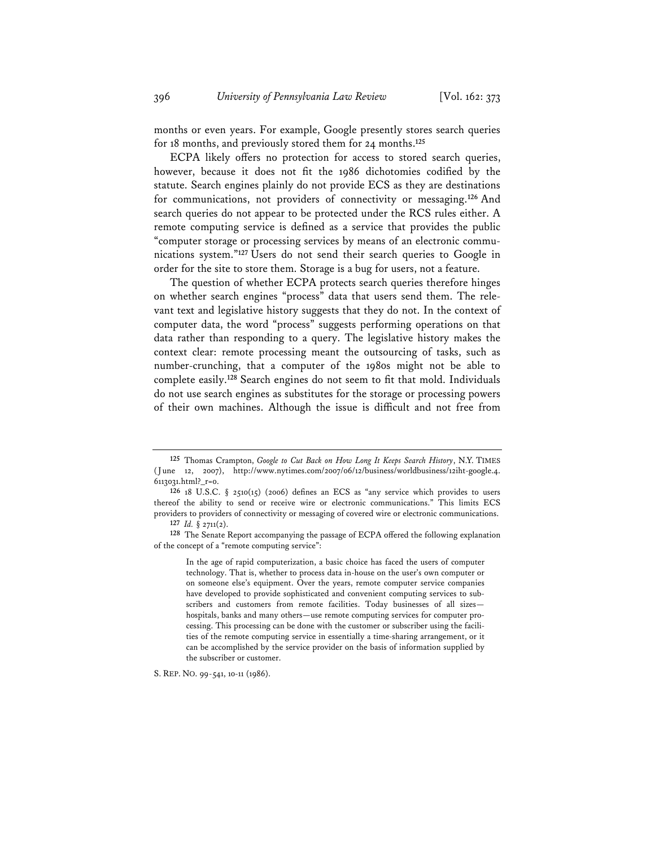months or even years. For example, Google presently stores search queries for 18 months, and previously stored them for 24 months.**<sup>125</sup>**

ECPA likely offers no protection for access to stored search queries, however, because it does not fit the 1986 dichotomies codified by the statute. Search engines plainly do not provide ECS as they are destinations for communications, not providers of connectivity or messaging.**<sup>126</sup>** And search queries do not appear to be protected under the RCS rules either. A remote computing service is defined as a service that provides the public "computer storage or processing services by means of an electronic communications system."**<sup>127</sup>** Users do not send their search queries to Google in order for the site to store them. Storage is a bug for users, not a feature.

The question of whether ECPA protects search queries therefore hinges on whether search engines "process" data that users send them. The relevant text and legislative history suggests that they do not. In the context of computer data, the word "process" suggests performing operations on that data rather than responding to a query. The legislative history makes the context clear: remote processing meant the outsourcing of tasks, such as number-crunching, that a computer of the 1980s might not be able to complete easily.**<sup>128</sup>** Search engines do not seem to fit that mold. Individuals do not use search engines as substitutes for the storage or processing powers of their own machines. Although the issue is difficult and not free from

S. REP. NO. 99-541, 10-11 (1986).

**<sup>125</sup>** Thomas Crampton, *Google to Cut Back on How Long It Keeps Search History*, N.Y. TIMES (June 12, 2007), http://www.nytimes.com/2007/06/12/business/worldbusiness/12iht-google.4. 6113031.html?\_r=0.

**<sup>126</sup>** 18 U.S.C. § 2510(15) (2006) defines an ECS as "any service which provides to users thereof the ability to send or receive wire or electronic communications." This limits ECS providers to providers of connectivity or messaging of covered wire or electronic communications. **127** *Id.* § 2711(2).

**<sup>128</sup>** The Senate Report accompanying the passage of ECPA offered the following explanation of the concept of a "remote computing service":

In the age of rapid computerization, a basic choice has faced the users of computer technology. That is, whether to process data in-house on the user's own computer or on someone else's equipment. Over the years, remote computer service companies have developed to provide sophisticated and convenient computing services to subscribers and customers from remote facilities. Today businesses of all sizes hospitals, banks and many others—use remote computing services for computer processing. This processing can be done with the customer or subscriber using the facilities of the remote computing service in essentially a time-sharing arrangement, or it can be accomplished by the service provider on the basis of information supplied by the subscriber or customer.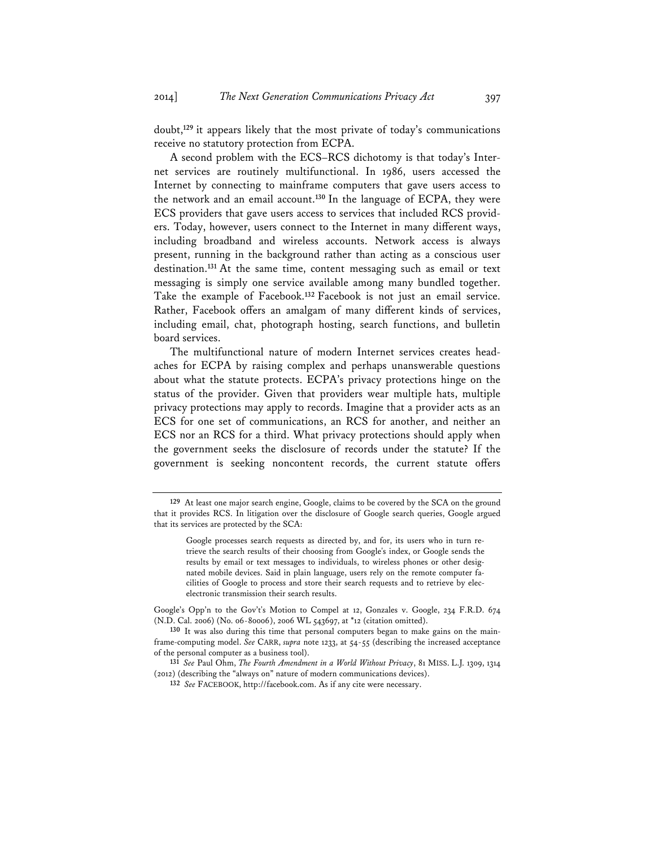doubt,**<sup>129</sup>** it appears likely that the most private of today's communications receive no statutory protection from ECPA.

A second problem with the ECS–RCS dichotomy is that today's Internet services are routinely multifunctional. In 1986, users accessed the Internet by connecting to mainframe computers that gave users access to the network and an email account.**<sup>130</sup>** In the language of ECPA, they were ECS providers that gave users access to services that included RCS providers. Today, however, users connect to the Internet in many different ways, including broadband and wireless accounts. Network access is always present, running in the background rather than acting as a conscious user destination.**<sup>131</sup>** At the same time, content messaging such as email or text messaging is simply one service available among many bundled together. Take the example of Facebook.**<sup>132</sup>** Facebook is not just an email service. Rather, Facebook offers an amalgam of many different kinds of services, including email, chat, photograph hosting, search functions, and bulletin board services.

The multifunctional nature of modern Internet services creates headaches for ECPA by raising complex and perhaps unanswerable questions about what the statute protects. ECPA's privacy protections hinge on the status of the provider. Given that providers wear multiple hats, multiple privacy protections may apply to records. Imagine that a provider acts as an ECS for one set of communications, an RCS for another, and neither an ECS nor an RCS for a third. What privacy protections should apply when the government seeks the disclosure of records under the statute? If the government is seeking noncontent records, the current statute offers

Google's Opp'n to the Gov't's Motion to Compel at 12, Gonzales v. Google, 234 F.R.D. 674 (N.D. Cal. 2006) (No. 06-80006), 2006 WL 543697, at \*12 (citation omitted).

**<sup>129</sup>** At least one major search engine, Google, claims to be covered by the SCA on the ground that it provides RCS. In litigation over the disclosure of Google search queries, Google argued that its services are protected by the SCA:

Google processes search requests as directed by, and for, its users who in turn retrieve the search results of their choosing from Google's index, or Google sends the results by email or text messages to individuals, to wireless phones or other designated mobile devices. Said in plain language, users rely on the remote computer facilities of Google to process and store their search requests and to retrieve by elecelectronic transmission their search results.

**<sup>130</sup>** It was also during this time that personal computers began to make gains on the mainframe-computing model. *See* CARR, *supra* note 1233, at 54-55 (describing the increased acceptance of the personal computer as a business tool).

**<sup>131</sup>** *See* Paul Ohm, *The Fourth Amendment in a World Without Privacy*, 81 MISS. L.J. 1309, 1314 (2012) (describing the "always on" nature of modern communications devices).

**<sup>132</sup>** *See* FACEBOOK, http://facebook.com. As if any cite were necessary.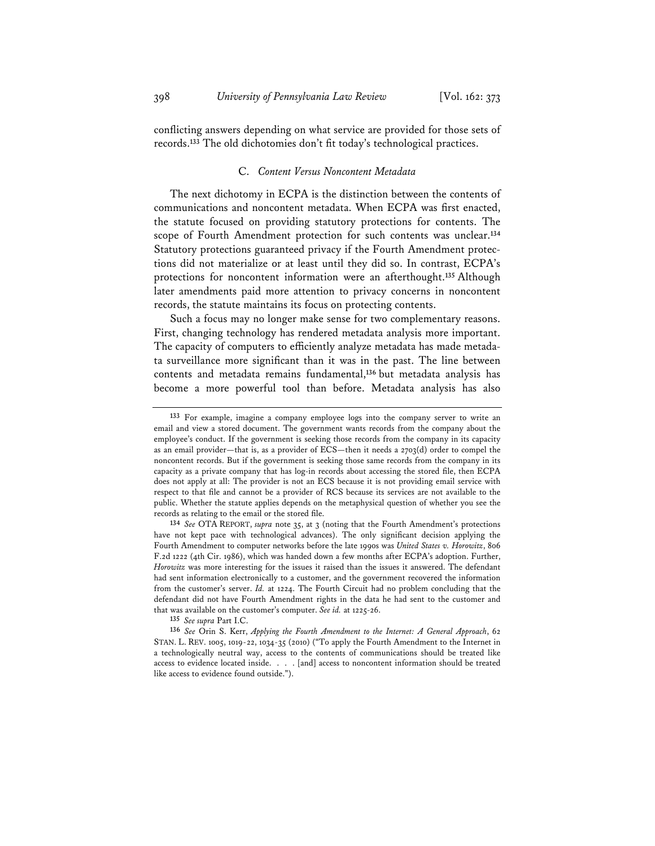conflicting answers depending on what service are provided for those sets of records.**<sup>133</sup>** The old dichotomies don't fit today's technological practices.

#### C. *Content Versus Noncontent Metadata*

The next dichotomy in ECPA is the distinction between the contents of communications and noncontent metadata. When ECPA was first enacted, the statute focused on providing statutory protections for contents. The scope of Fourth Amendment protection for such contents was unclear.**<sup>134</sup>** Statutory protections guaranteed privacy if the Fourth Amendment protections did not materialize or at least until they did so. In contrast, ECPA's protections for noncontent information were an afterthought.**<sup>135</sup>** Although later amendments paid more attention to privacy concerns in noncontent records, the statute maintains its focus on protecting contents.

Such a focus may no longer make sense for two complementary reasons. First, changing technology has rendered metadata analysis more important. The capacity of computers to efficiently analyze metadata has made metadata surveillance more significant than it was in the past. The line between contents and metadata remains fundamental,**<sup>136</sup>** but metadata analysis has become a more powerful tool than before. Metadata analysis has also

**135** *See supra* Part I.C.

**136** *See* Orin S. Kerr, *Applying the Fourth Amendment to the Internet: A General Approach*, 62 STAN. L. REV. 1005, 1019-22, 1034-35 (2010) ("To apply the Fourth Amendment to the Internet in a technologically neutral way, access to the contents of communications should be treated like access to evidence located inside. . . . [and] access to noncontent information should be treated like access to evidence found outside.").

**<sup>133</sup>** For example, imagine a company employee logs into the company server to write an email and view a stored document. The government wants records from the company about the employee's conduct. If the government is seeking those records from the company in its capacity as an email provider—that is, as a provider of ECS—then it needs a 2703(d) order to compel the noncontent records. But if the government is seeking those same records from the company in its capacity as a private company that has log-in records about accessing the stored file, then ECPA does not apply at all: The provider is not an ECS because it is not providing email service with respect to that file and cannot be a provider of RCS because its services are not available to the public. Whether the statute applies depends on the metaphysical question of whether you see the records as relating to the email or the stored file.

**<sup>134</sup>** *See* OTA REPORT, *supra* note 35, at 3 (noting that the Fourth Amendment's protections have not kept pace with technological advances). The only significant decision applying the Fourth Amendment to computer networks before the late 1990s was *United States v. Horowitz*, 806 F.2d 1222 (4th Cir. 1986), which was handed down a few months after ECPA's adoption. Further, *Horowitz* was more interesting for the issues it raised than the issues it answered. The defendant had sent information electronically to a customer, and the government recovered the information from the customer's server. *Id.* at 1224. The Fourth Circuit had no problem concluding that the defendant did not have Fourth Amendment rights in the data he had sent to the customer and that was available on the customer's computer. *See id.* at 1225-26.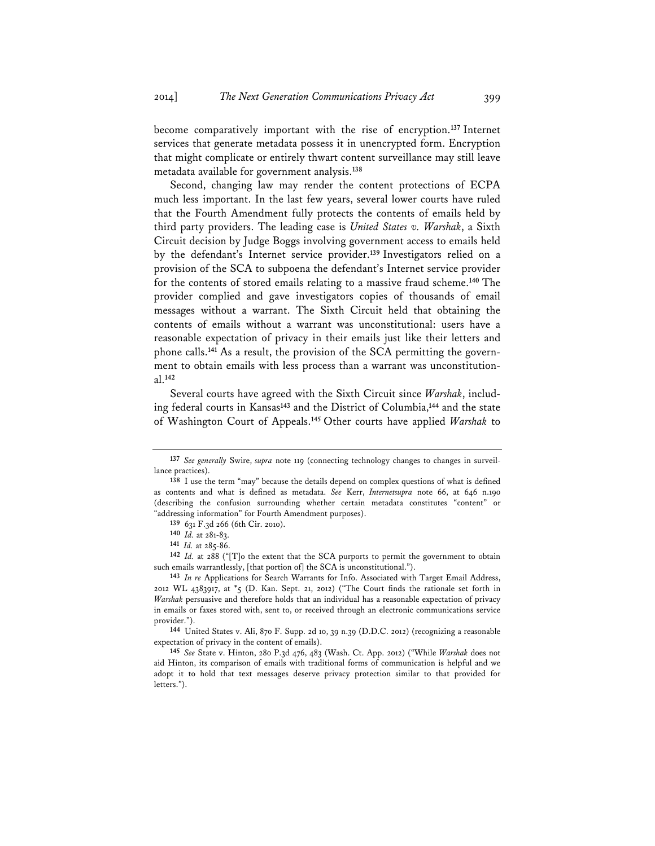become comparatively important with the rise of encryption.**<sup>137</sup>** Internet services that generate metadata possess it in unencrypted form. Encryption that might complicate or entirely thwart content surveillance may still leave metadata available for government analysis.**<sup>138</sup>**

Second, changing law may render the content protections of ECPA much less important. In the last few years, several lower courts have ruled that the Fourth Amendment fully protects the contents of emails held by third party providers. The leading case is *United States v. Warshak*, a Sixth Circuit decision by Judge Boggs involving government access to emails held by the defendant's Internet service provider.**<sup>139</sup>** Investigators relied on a provision of the SCA to subpoena the defendant's Internet service provider for the contents of stored emails relating to a massive fraud scheme.**<sup>140</sup>** The provider complied and gave investigators copies of thousands of email messages without a warrant. The Sixth Circuit held that obtaining the contents of emails without a warrant was unconstitutional: users have a reasonable expectation of privacy in their emails just like their letters and phone calls.**141** As a result, the provision of the SCA permitting the government to obtain emails with less process than a warrant was unconstitutional.**<sup>142</sup>**

Several courts have agreed with the Sixth Circuit since *Warshak*, including federal courts in Kansas**<sup>143</sup>** and the District of Columbia,**<sup>144</sup>** and the state of Washington Court of Appeals.**<sup>145</sup>** Other courts have applied *Warshak* to

**144** United States v. Ali, 870 F. Supp. 2d 10, 39 n.39 (D.D.C. 2012) (recognizing a reasonable expectation of privacy in the content of emails).

**<sup>137</sup>** *See generally* Swire, *supra* note 119 (connecting technology changes to changes in surveillance practices).

**<sup>138</sup>** I use the term "may" because the details depend on complex questions of what is defined as contents and what is defined as metadata. *See* Kerr, *Internetsupra* note 66, at 646 n.190 (describing the confusion surrounding whether certain metadata constitutes "content" or "addressing information" for Fourth Amendment purposes).

**<sup>139</sup>** 631 F.3d 266 (6th Cir. 2010).

**<sup>140</sup>** *Id.* at 281-83.

**<sup>141</sup>** *Id.* at 285-86.

**<sup>142</sup>** *Id.* at 288 ("[T]o the extent that the SCA purports to permit the government to obtain such emails warrantlessly, [that portion of] the SCA is unconstitutional.").

**<sup>143</sup>** *In re* Applications for Search Warrants for Info. Associated with Target Email Address, 2012 WL 4383917, at \*5 (D. Kan. Sept. 21, 2012) ("The Court finds the rationale set forth in *Warshak* persuasive and therefore holds that an individual has a reasonable expectation of privacy in emails or faxes stored with, sent to, or received through an electronic communications service provider.").

**<sup>145</sup>** *See* State v. Hinton, 280 P.3d 476, 483 (Wash. Ct. App. 2012) ("While *Warshak* does not aid Hinton, its comparison of emails with traditional forms of communication is helpful and we adopt it to hold that text messages deserve privacy protection similar to that provided for letters.").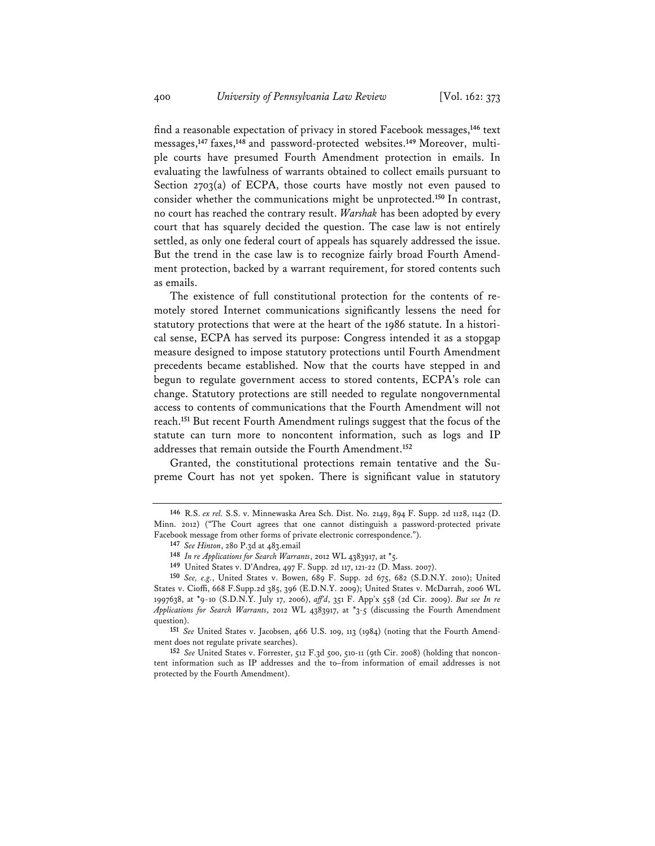find a reasonable expectation of privacy in stored Facebook messages,**<sup>146</sup>** text messages,**147** faxes,**148** and password-protected websites.**149** Moreover, multiple courts have presumed Fourth Amendment protection in emails. In evaluating the lawfulness of warrants obtained to collect emails pursuant to Section 2703(a) of ECPA, those courts have mostly not even paused to consider whether the communications might be unprotected.**<sup>150</sup>** In contrast, no court has reached the contrary result. *Warshak* has been adopted by every court that has squarely decided the question. The case law is not entirely settled, as only one federal court of appeals has squarely addressed the issue. But the trend in the case law is to recognize fairly broad Fourth Amendment protection, backed by a warrant requirement, for stored contents such as emails.

The existence of full constitutional protection for the contents of remotely stored Internet communications significantly lessens the need for statutory protections that were at the heart of the 1986 statute. In a historical sense, ECPA has served its purpose: Congress intended it as a stopgap measure designed to impose statutory protections until Fourth Amendment precedents became established. Now that the courts have stepped in and begun to regulate government access to stored contents, ECPA's role can change. Statutory protections are still needed to regulate nongovernmental access to contents of communications that the Fourth Amendment will not reach.**<sup>151</sup>** But recent Fourth Amendment rulings suggest that the focus of the statute can turn more to noncontent information, such as logs and IP addresses that remain outside the Fourth Amendment.**<sup>152</sup>**

Granted, the constitutional protections remain tentative and the Supreme Court has not yet spoken. There is significant value in statutory

**151** *See* United States v. Jacobsen, 466 U.S. 109, 113 (1984) (noting that the Fourth Amendment does not regulate private searches).

**152** *See* United States v. Forrester, 512 F.3d 500, 510-11 (9th Cir. 2008) (holding that noncontent information such as IP addresses and the to–from information of email addresses is not protected by the Fourth Amendment).

**<sup>146</sup>** R.S. *ex rel.* S.S. v. Minnewaska Area Sch. Dist. No. 2149, 894 F. Supp. 2d 1128, 1142 (D. Minn. 2012) ("The Court agrees that one cannot distinguish a password-protected private Facebook message from other forms of private electronic correspondence.").

**<sup>147</sup>** *See Hinton*, 280 P.3d at 483.email

**<sup>148</sup>** *In re Applications for Search Warrants*, 2012 WL 4383917, at \*5.

**<sup>149</sup>** United States v. D'Andrea, 497 F. Supp. 2d 117, 121-22 (D. Mass. 2007).

**<sup>150</sup>** *See, e.g.*, United States v. Bowen, 689 F. Supp. 2d 675, 682 (S.D.N.Y. 2010); United States v. Cioffi, 668 F.Supp.2d 385, 396 (E.D.N.Y. 2009); United States v. McDarrah, 2006 WL 1997638, at \*9-10 (S.D.N.Y. July 17, 2006), *aff'd*, 351 F. App'x 558 (2d Cir. 2009). *But see In re Applications for Search Warrants*, 2012 WL 4383917, at \*3-5 (discussing the Fourth Amendment question).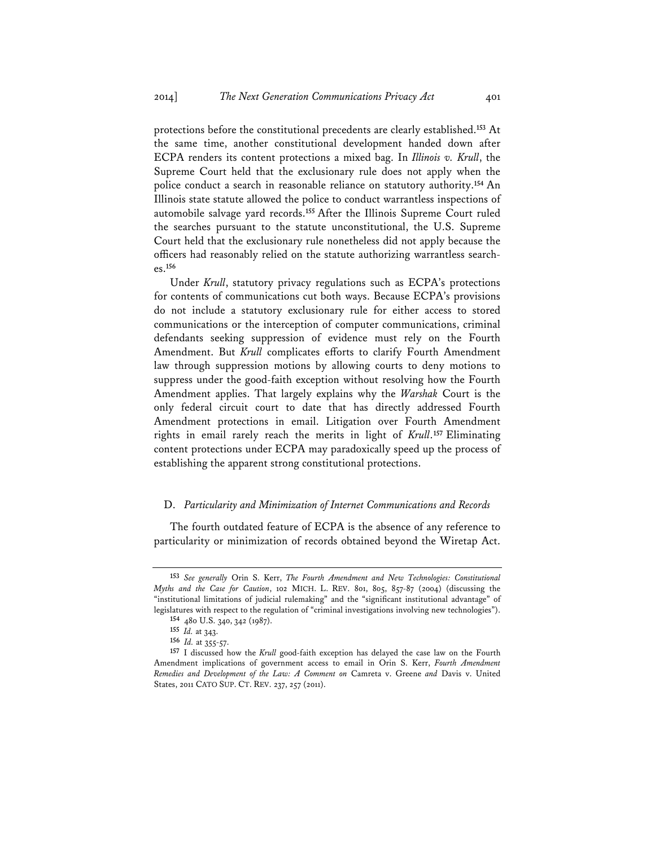protections before the constitutional precedents are clearly established.**<sup>153</sup>** At the same time, another constitutional development handed down after ECPA renders its content protections a mixed bag. In *Illinois v. Krull*, the Supreme Court held that the exclusionary rule does not apply when the police conduct a search in reasonable reliance on statutory authority.**<sup>154</sup>** An Illinois state statute allowed the police to conduct warrantless inspections of automobile salvage yard records.**<sup>155</sup>** After the Illinois Supreme Court ruled the searches pursuant to the statute unconstitutional, the U.S. Supreme Court held that the exclusionary rule nonetheless did not apply because the officers had reasonably relied on the statute authorizing warrantless searches.**<sup>156</sup>**

Under *Krull*, statutory privacy regulations such as ECPA's protections for contents of communications cut both ways. Because ECPA's provisions do not include a statutory exclusionary rule for either access to stored communications or the interception of computer communications, criminal defendants seeking suppression of evidence must rely on the Fourth Amendment. But *Krull* complicates efforts to clarify Fourth Amendment law through suppression motions by allowing courts to deny motions to suppress under the good-faith exception without resolving how the Fourth Amendment applies. That largely explains why the *Warshak* Court is the only federal circuit court to date that has directly addressed Fourth Amendment protections in email. Litigation over Fourth Amendment rights in email rarely reach the merits in light of *Krull*.**<sup>157</sup>** Eliminating content protections under ECPA may paradoxically speed up the process of establishing the apparent strong constitutional protections.

### D. *Particularity and Minimization of Internet Communications and Records*

The fourth outdated feature of ECPA is the absence of any reference to particularity or minimization of records obtained beyond the Wiretap Act.

**<sup>153</sup>** *See generally* Orin S. Kerr, *The Fourth Amendment and New Technologies: Constitutional Myths and the Case for Caution*, 102 MICH. L. REV. 801, 805, 857-87 (2004) (discussing the "institutional limitations of judicial rulemaking" and the "significant institutional advantage" of legislatures with respect to the regulation of "criminal investigations involving new technologies").

**<sup>154</sup>** 480 U.S. 340, 342 (1987).

**<sup>155</sup>** *Id.* at 343.

**<sup>156</sup>** *Id.* at 355-57.

**<sup>157</sup>** I discussed how the *Krull* good-faith exception has delayed the case law on the Fourth Amendment implications of government access to email in Orin S. Kerr, *Fourth Amendment Remedies and Development of the Law: A Comment on* Camreta v. Greene *and* Davis v. United States, 2011 CATO SUP. CT. REV. 237, 257 (2011).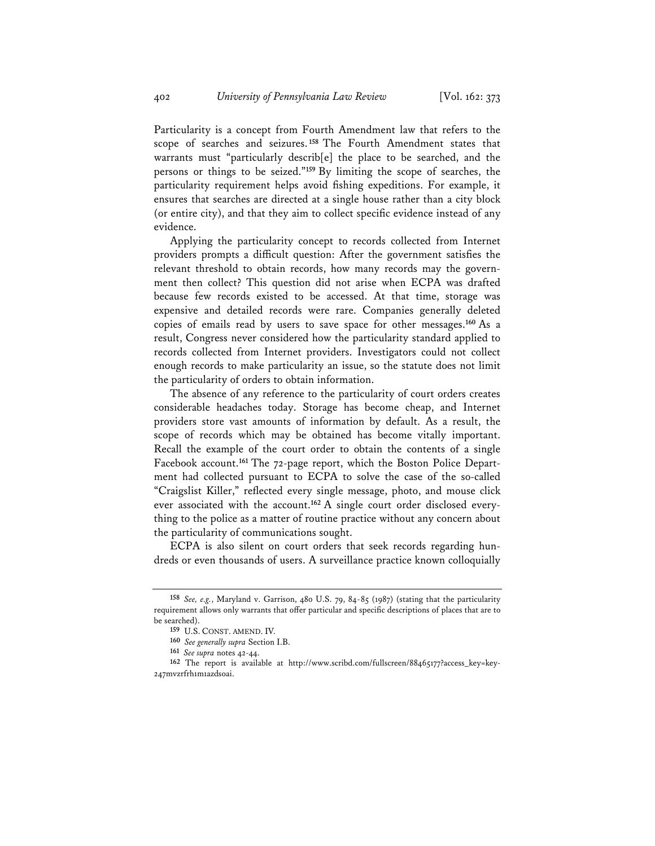Particularity is a concept from Fourth Amendment law that refers to the scope of searches and seizures.**<sup>158</sup>** The Fourth Amendment states that warrants must "particularly describ[e] the place to be searched, and the persons or things to be seized."**<sup>159</sup>** By limiting the scope of searches, the particularity requirement helps avoid fishing expeditions. For example, it ensures that searches are directed at a single house rather than a city block (or entire city), and that they aim to collect specific evidence instead of any evidence.

Applying the particularity concept to records collected from Internet providers prompts a difficult question: After the government satisfies the relevant threshold to obtain records, how many records may the government then collect? This question did not arise when ECPA was drafted because few records existed to be accessed. At that time, storage was expensive and detailed records were rare. Companies generally deleted copies of emails read by users to save space for other messages.**<sup>160</sup>** As a result, Congress never considered how the particularity standard applied to records collected from Internet providers. Investigators could not collect enough records to make particularity an issue, so the statute does not limit the particularity of orders to obtain information.

The absence of any reference to the particularity of court orders creates considerable headaches today. Storage has become cheap, and Internet providers store vast amounts of information by default. As a result, the scope of records which may be obtained has become vitally important. Recall the example of the court order to obtain the contents of a single Facebook account.**161** The 72-page report, which the Boston Police Department had collected pursuant to ECPA to solve the case of the so-called "Craigslist Killer," reflected every single message, photo, and mouse click ever associated with the account.**162** A single court order disclosed everything to the police as a matter of routine practice without any concern about the particularity of communications sought.

ECPA is also silent on court orders that seek records regarding hundreds or even thousands of users. A surveillance practice known colloquially

**<sup>158</sup>** *See, e.g.*, Maryland v. Garrison, 480 U.S. 79, 84-85 (1987) (stating that the particularity requirement allows only warrants that offer particular and specific descriptions of places that are to be searched).

**<sup>159</sup>** U.S. CONST. AMEND. IV.

**<sup>160</sup>** *See generally supra* Section I.B.

**<sup>161</sup>** *See supra* notes 42-44.

<sup>&</sup>lt;sup>162</sup> The report is available at http://www.scribd.com/fullscreen/88465177?access\_key=key-247mvzrfrh1m1azdsoai.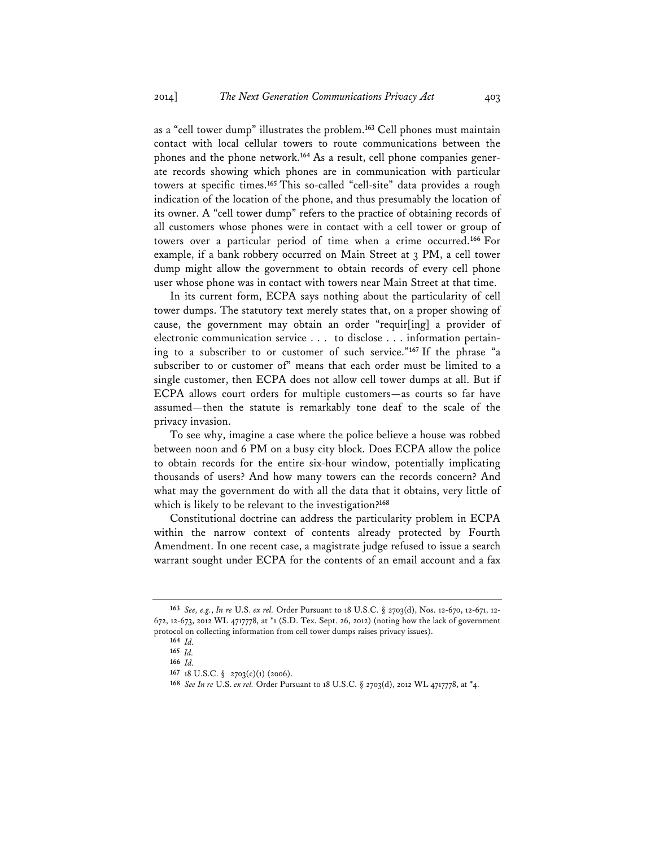as a "cell tower dump" illustrates the problem.**<sup>163</sup>** Cell phones must maintain contact with local cellular towers to route communications between the phones and the phone network.**164** As a result, cell phone companies generate records showing which phones are in communication with particular towers at specific times.**<sup>165</sup>** This so-called "cell-site" data provides a rough indication of the location of the phone, and thus presumably the location of its owner. A "cell tower dump" refers to the practice of obtaining records of all customers whose phones were in contact with a cell tower or group of towers over a particular period of time when a crime occurred.**<sup>166</sup>** For example, if a bank robbery occurred on Main Street at 3 PM, a cell tower dump might allow the government to obtain records of every cell phone user whose phone was in contact with towers near Main Street at that time.

In its current form, ECPA says nothing about the particularity of cell tower dumps. The statutory text merely states that, on a proper showing of cause, the government may obtain an order "requir[ing] a provider of electronic communication service . . . to disclose . . . information pertaining to a subscriber to or customer of such service."**<sup>167</sup>** If the phrase "a subscriber to or customer of" means that each order must be limited to a single customer, then ECPA does not allow cell tower dumps at all. But if ECPA allows court orders for multiple customers—as courts so far have assumed—then the statute is remarkably tone deaf to the scale of the privacy invasion.

To see why, imagine a case where the police believe a house was robbed between noon and 6 PM on a busy city block. Does ECPA allow the police to obtain records for the entire six-hour window, potentially implicating thousands of users? And how many towers can the records concern? And what may the government do with all the data that it obtains, very little of which is likely to be relevant to the investigation?**<sup>168</sup>**

Constitutional doctrine can address the particularity problem in ECPA within the narrow context of contents already protected by Fourth Amendment. In one recent case, a magistrate judge refused to issue a search warrant sought under ECPA for the contents of an email account and a fax

**<sup>163</sup>** *See, e.g.*, *In re* U.S. *ex rel.* Order Pursuant to 18 U.S.C. § 2703(d), Nos. 12-670, 12-671, 12- 672, 12-673, 2012 WL 4717778, at \*1 (S.D. Tex. Sept. 26, 2012) (noting how the lack of government protocol on collecting information from cell tower dumps raises privacy issues).

**<sup>164</sup>** *Id.*

**<sup>165</sup>** *Id.*

**<sup>166</sup>** *Id.*

**<sup>167</sup>** 18 U.S.C. § 2703(c)(1) (2006).

**<sup>168</sup>** *See In re* U.S. *ex rel.* Order Pursuant to 18 U.S.C. § 2703(d), 2012 WL 4717778, at \*4.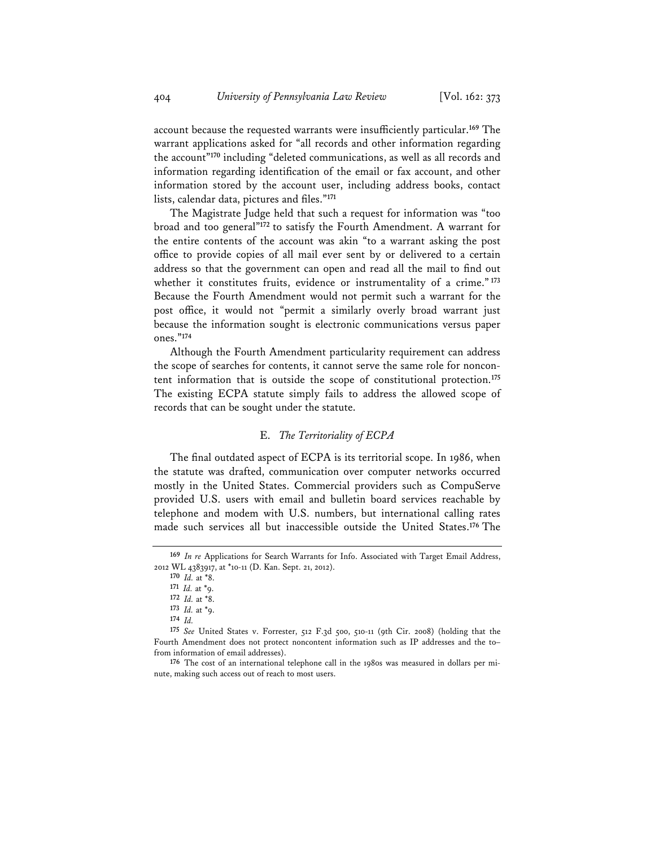account because the requested warrants were insufficiently particular.**<sup>169</sup>** The warrant applications asked for "all records and other information regarding the account"**<sup>170</sup>** including "deleted communications, as well as all records and information regarding identification of the email or fax account, and other information stored by the account user, including address books, contact lists, calendar data, pictures and files."**<sup>171</sup>**

The Magistrate Judge held that such a request for information was "too broad and too general"**<sup>172</sup>** to satisfy the Fourth Amendment. A warrant for the entire contents of the account was akin "to a warrant asking the post office to provide copies of all mail ever sent by or delivered to a certain address so that the government can open and read all the mail to find out whether it constitutes fruits, evidence or instrumentality of a crime."**<sup>173</sup>** Because the Fourth Amendment would not permit such a warrant for the post office, it would not "permit a similarly overly broad warrant just because the information sought is electronic communications versus paper ones."**<sup>174</sup>**

Although the Fourth Amendment particularity requirement can address the scope of searches for contents, it cannot serve the same role for noncontent information that is outside the scope of constitutional protection.**<sup>175</sup>** The existing ECPA statute simply fails to address the allowed scope of records that can be sought under the statute.

### E. *The Territoriality of ECPA*

The final outdated aspect of ECPA is its territorial scope. In 1986, when the statute was drafted, communication over computer networks occurred mostly in the United States. Commercial providers such as CompuServe provided U.S. users with email and bulletin board services reachable by telephone and modem with U.S. numbers, but international calling rates made such services all but inaccessible outside the United States.**<sup>176</sup>** The

**<sup>169</sup>** *In re* Applications for Search Warrants for Info. Associated with Target Email Address, 2012 WL 4383917, at \*10-11 (D. Kan. Sept. 21, 2012).

**<sup>170</sup>** *Id.* at \*8.

**<sup>171</sup>** *Id.* at \*9.

**<sup>172</sup>** *Id.* at \*8.

**<sup>173</sup>** *Id.* at \*9.

**<sup>174</sup>** *Id.*

**<sup>175</sup>** *See* United States v. Forrester, 512 F.3d 500, 510-11 (9th Cir. 2008) (holding that the Fourth Amendment does not protect noncontent information such as IP addresses and the to– from information of email addresses).

**<sup>176</sup>** The cost of an international telephone call in the 1980s was measured in dollars per minute, making such access out of reach to most users.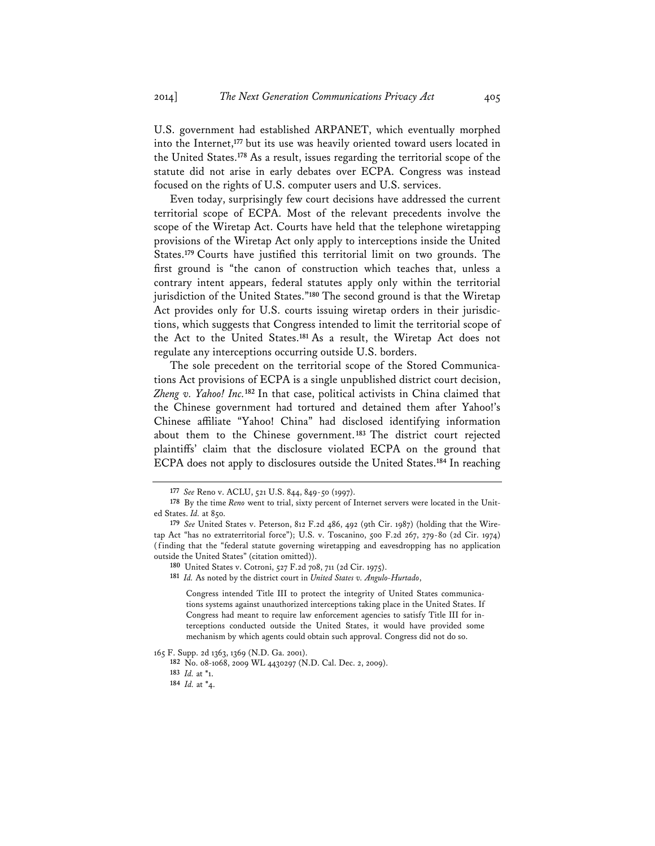U.S. government had established ARPANET, which eventually morphed into the Internet,**<sup>177</sup>** but its use was heavily oriented toward users located in the United States.**<sup>178</sup>** As a result, issues regarding the territorial scope of the statute did not arise in early debates over ECPA. Congress was instead focused on the rights of U.S. computer users and U.S. services.

Even today, surprisingly few court decisions have addressed the current territorial scope of ECPA. Most of the relevant precedents involve the scope of the Wiretap Act. Courts have held that the telephone wiretapping provisions of the Wiretap Act only apply to interceptions inside the United States.**<sup>179</sup>** Courts have justified this territorial limit on two grounds. The first ground is "the canon of construction which teaches that, unless a contrary intent appears, federal statutes apply only within the territorial jurisdiction of the United States."**<sup>180</sup>** The second ground is that the Wiretap Act provides only for U.S. courts issuing wiretap orders in their jurisdictions, which suggests that Congress intended to limit the territorial scope of the Act to the United States.**<sup>181</sup>** As a result, the Wiretap Act does not regulate any interceptions occurring outside U.S. borders.

The sole precedent on the territorial scope of the Stored Communications Act provisions of ECPA is a single unpublished district court decision, *Zheng v. Yahoo! Inc.***<sup>182</sup>** In that case, political activists in China claimed that the Chinese government had tortured and detained them after Yahoo!'s Chinese affiliate "Yahoo! China" had disclosed identifying information about them to the Chinese government.**<sup>183</sup>** The district court rejected plaintiffs' claim that the disclosure violated ECPA on the ground that ECPA does not apply to disclosures outside the United States.**<sup>184</sup>** In reaching

**181** *Id.* As noted by the district court in *United States v. Angulo-Hurtado*,

Congress intended Title III to protect the integrity of United States communications systems against unauthorized interceptions taking place in the United States. If Congress had meant to require law enforcement agencies to satisfy Title III for interceptions conducted outside the United States, it would have provided some mechanism by which agents could obtain such approval. Congress did not do so.

165 F. Supp. 2d 1363, 1369 (N.D. Ga. 2001).

**182** No. 08-1068, 2009 WL 4430297 (N.D. Cal. Dec. 2, 2009).

**<sup>177</sup>** *See* Reno v. ACLU, 521 U.S. 844, 849-50 (1997).

**<sup>178</sup>** By the time *Reno* went to trial, sixty percent of Internet servers were located in the United States. *Id.* at 850.

**<sup>179</sup>** *See* United States v. Peterson, 812 F.2d 486, 492 (9th Cir. 1987) (holding that the Wiretap Act "has no extraterritorial force"); U.S. v. Toscanino, 500 F.2d 267, 279-80 (2d Cir. 1974) (finding that the "federal statute governing wiretapping and eavesdropping has no application outside the United States" (citation omitted)).

**<sup>180</sup>** United States v. Cotroni, 527 F.2d 708, 711 (2d Cir. 1975).

**<sup>183</sup>** *Id.* at \*1.

**<sup>184</sup>** *Id.* at \*4.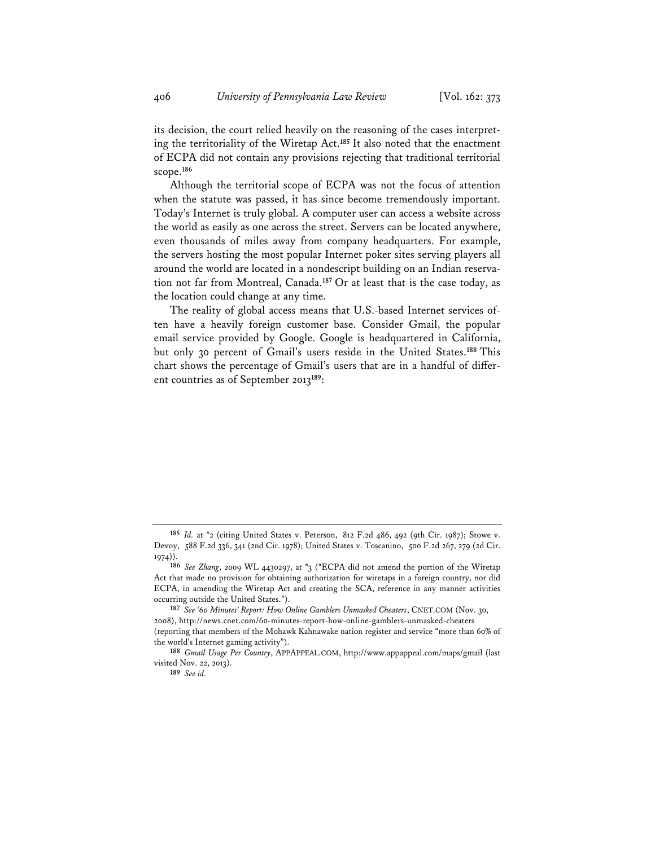its decision, the court relied heavily on the reasoning of the cases interpreting the territoriality of the Wiretap Act.**<sup>185</sup>** It also noted that the enactment of ECPA did not contain any provisions rejecting that traditional territorial scope.**<sup>186</sup>**

Although the territorial scope of ECPA was not the focus of attention when the statute was passed, it has since become tremendously important. Today's Internet is truly global. A computer user can access a website across the world as easily as one across the street. Servers can be located anywhere, even thousands of miles away from company headquarters. For example, the servers hosting the most popular Internet poker sites serving players all around the world are located in a nondescript building on an Indian reservation not far from Montreal, Canada.**<sup>187</sup>** Or at least that is the case today, as the location could change at any time.

The reality of global access means that U.S.-based Internet services often have a heavily foreign customer base. Consider Gmail, the popular email service provided by Google. Google is headquartered in California, but only 30 percent of Gmail's users reside in the United States.**<sup>188</sup>** This chart shows the percentage of Gmail's users that are in a handful of different countries as of September 2013**<sup>189</sup>**:

**<sup>185</sup>** *Id.* at \*2 (citing United States v. Peterson, 812 F.2d 486, 492 (9th Cir. 1987); Stowe v. Devoy, 588 F.2d 336, 341 (2nd Cir. 1978); United States v. Toscanino, 500 F.2d 267, 279 (2d Cir. 1974))

**<sup>186</sup>** *See Zhang*, 2009 WL 4430297, at \*3 ("ECPA did not amend the portion of the Wiretap Act that made no provision for obtaining authorization for wiretaps in a foreign country, nor did ECPA, in amending the Wiretap Act and creating the SCA, reference in any manner activities occurring outside the United States.").

**<sup>187</sup>** *See '60 Minutes' Report: How Online Gamblers Unmasked Cheaters*, CNET.COM (Nov. 30, 2008), http://news.cnet.com/60-minutes-report-how-online-gamblers-unmasked-cheaters (reporting that members of the Mohawk Kahnawake nation register and service "more than 60% of

the world's Internet gaming activity").

**<sup>188</sup>** *Gmail Usage Per Country*, APPAPPEAL.COM, http://www.appappeal.com/maps/gmail (last visited Nov. 22, 2013).

**<sup>189</sup>** *See id.*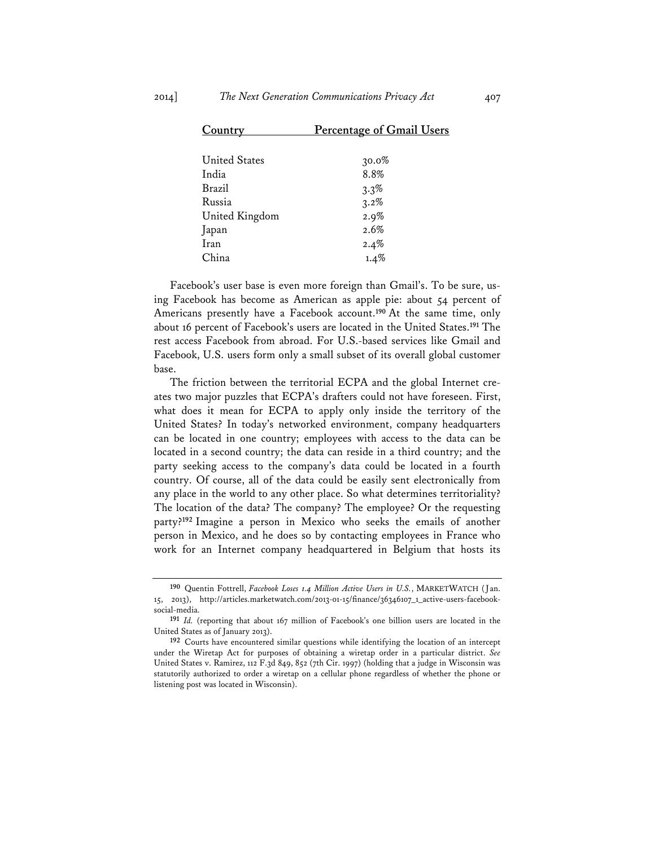| <b>Country</b>       | <b>Percentage of Gmail Users</b> |
|----------------------|----------------------------------|
| <b>United States</b> | $30.0\%$                         |
| India                | 8.8%                             |
| Brazil               | $3.3\%$                          |
| Russia               | 3.2%                             |
| United Kingdom       | 2.9%                             |
| Japan                | 2.6%                             |
| Iran                 | 2.4%                             |
| China                | $1.4\%$                          |
|                      |                                  |

Facebook's user base is even more foreign than Gmail's. To be sure, using Facebook has become as American as apple pie: about 54 percent of Americans presently have a Facebook account.**<sup>190</sup>** At the same time, only about 16 percent of Facebook's users are located in the United States.**<sup>191</sup>** The rest access Facebook from abroad. For U.S.-based services like Gmail and Facebook, U.S. users form only a small subset of its overall global customer base.

The friction between the territorial ECPA and the global Internet creates two major puzzles that ECPA's drafters could not have foreseen. First, what does it mean for ECPA to apply only inside the territory of the United States? In today's networked environment, company headquarters can be located in one country; employees with access to the data can be located in a second country; the data can reside in a third country; and the party seeking access to the company's data could be located in a fourth country. Of course, all of the data could be easily sent electronically from any place in the world to any other place. So what determines territoriality? The location of the data? The company? The employee? Or the requesting party?**<sup>192</sup>** Imagine a person in Mexico who seeks the emails of another person in Mexico, and he does so by contacting employees in France who work for an Internet company headquartered in Belgium that hosts its

**<sup>190</sup>** Quentin Fottrell, *Facebook Loses 1.4 Million Active Users in U.S.*, MARKETWATCH (Jan. 15, 2013), http://articles.marketwatch.com/2013-01-15/finance/36346107\_1\_active-users-facebooksocial-media.

**<sup>191</sup>** *Id.* (reporting that about 167 million of Facebook's one billion users are located in the United States as of January 2013).

**<sup>192</sup>** Courts have encountered similar questions while identifying the location of an intercept under the Wiretap Act for purposes of obtaining a wiretap order in a particular district. *See* United States v. Ramirez, 112 F.3d 849, 852 (7th Cir. 1997) (holding that a judge in Wisconsin was statutorily authorized to order a wiretap on a cellular phone regardless of whether the phone or listening post was located in Wisconsin).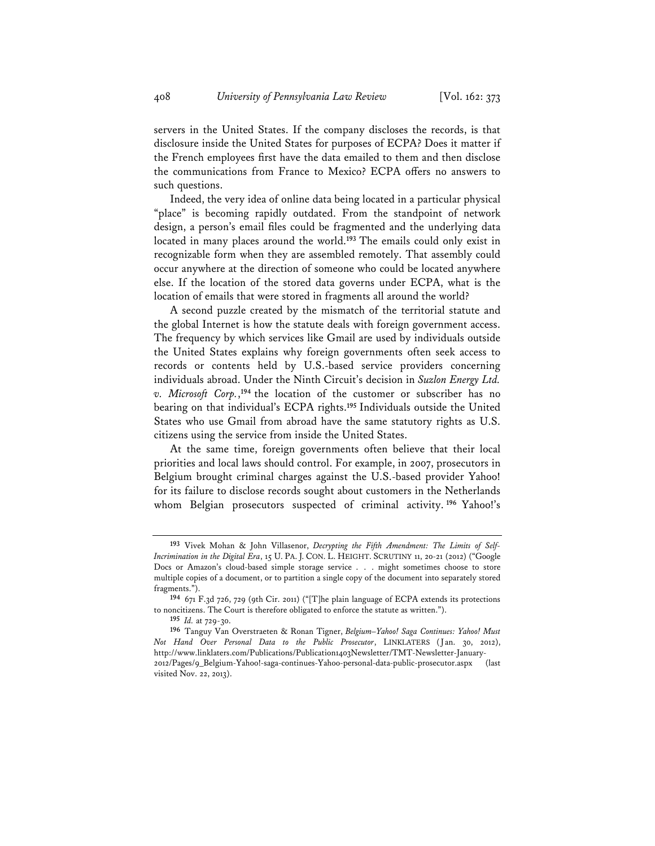servers in the United States. If the company discloses the records, is that disclosure inside the United States for purposes of ECPA? Does it matter if the French employees first have the data emailed to them and then disclose the communications from France to Mexico? ECPA offers no answers to such questions.

Indeed, the very idea of online data being located in a particular physical "place" is becoming rapidly outdated. From the standpoint of network design, a person's email files could be fragmented and the underlying data located in many places around the world.**<sup>193</sup>** The emails could only exist in recognizable form when they are assembled remotely. That assembly could occur anywhere at the direction of someone who could be located anywhere else. If the location of the stored data governs under ECPA, what is the location of emails that were stored in fragments all around the world?

A second puzzle created by the mismatch of the territorial statute and the global Internet is how the statute deals with foreign government access. The frequency by which services like Gmail are used by individuals outside the United States explains why foreign governments often seek access to records or contents held by U.S.-based service providers concerning individuals abroad. Under the Ninth Circuit's decision in *Suzlon Energy Ltd. v. Microsoft Corp.*, **<sup>194</sup>** the location of the customer or subscriber has no bearing on that individual's ECPA rights.**<sup>195</sup>** Individuals outside the United States who use Gmail from abroad have the same statutory rights as U.S. citizens using the service from inside the United States.

At the same time, foreign governments often believe that their local priorities and local laws should control. For example, in 2007, prosecutors in Belgium brought criminal charges against the U.S.-based provider Yahoo! for its failure to disclose records sought about customers in the Netherlands whom Belgian prosecutors suspected of criminal activity. **<sup>196</sup>** Yahoo!'s

**<sup>193</sup>** Vivek Mohan & John Villasenor, *Decrypting the Fifth Amendment: The Limits of Self-Incrimination in the Digital Era*, 15 U. PA. J. CON. L. HEIGHT. SCRUTINY 11, 20-21 (2012) ("Google Docs or Amazon's cloud-based simple storage service . . . might sometimes choose to store multiple copies of a document, or to partition a single copy of the document into separately stored fragments.").

**<sup>194</sup>** 671 F.3d 726, 729 (9th Cir. 2011) ("[T]he plain language of ECPA extends its protections to noncitizens. The Court is therefore obligated to enforce the statute as written.").

**<sup>195</sup>** *Id.* at 729-30.

**<sup>196</sup>** Tanguy Van Overstraeten & Ronan Tigner, *Belgium–Yahoo! Saga Continues: Yahoo! Must Not Hand Over Personal Data to the Public Prosecutor*, LINKLATERS (Jan. 30, 2012), http://www.linklaters.com/Publications/Publication1403Newsletter/TMT-Newsletter-January-2012/Pages/9\_Belgium-Yahoo!-saga-continues-Yahoo-personal-data-public-prosecutor.aspx (last visited Nov. 22, 2013).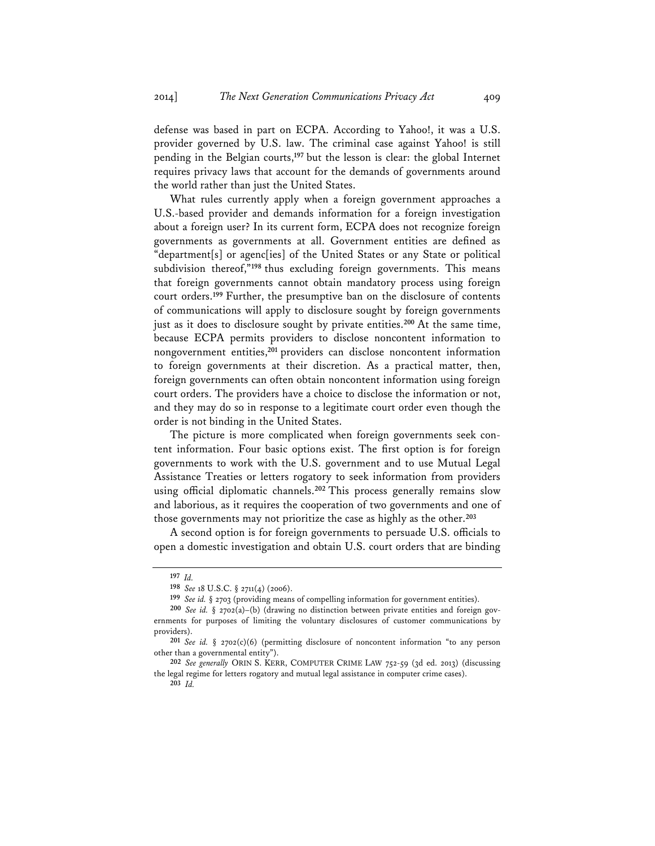defense was based in part on ECPA. According to Yahoo!, it was a U.S. provider governed by U.S. law. The criminal case against Yahoo! is still pending in the Belgian courts,**<sup>197</sup>** but the lesson is clear: the global Internet requires privacy laws that account for the demands of governments around the world rather than just the United States.

What rules currently apply when a foreign government approaches a U.S.-based provider and demands information for a foreign investigation about a foreign user? In its current form, ECPA does not recognize foreign governments as governments at all. Government entities are defined as "department[s] or agenc[ies] of the United States or any State or political subdivision thereof,"**<sup>198</sup>** thus excluding foreign governments. This means that foreign governments cannot obtain mandatory process using foreign court orders.**<sup>199</sup>** Further, the presumptive ban on the disclosure of contents of communications will apply to disclosure sought by foreign governments just as it does to disclosure sought by private entities.**<sup>200</sup>** At the same time, because ECPA permits providers to disclose noncontent information to nongovernment entities,**<sup>201</sup>** providers can disclose noncontent information to foreign governments at their discretion. As a practical matter, then, foreign governments can often obtain noncontent information using foreign court orders. The providers have a choice to disclose the information or not, and they may do so in response to a legitimate court order even though the order is not binding in the United States.

The picture is more complicated when foreign governments seek content information. Four basic options exist. The first option is for foreign governments to work with the U.S. government and to use Mutual Legal Assistance Treaties or letters rogatory to seek information from providers using official diplomatic channels.**<sup>202</sup>** This process generally remains slow and laborious, as it requires the cooperation of two governments and one of those governments may not prioritize the case as highly as the other.**<sup>203</sup>**

A second option is for foreign governments to persuade U.S. officials to open a domestic investigation and obtain U.S. court orders that are binding

**<sup>197</sup>** *Id.*

**<sup>198</sup>** *See* 18 U.S.C. § 2711(4) (2006).

**<sup>199</sup>** *See id.* § 2703 (providing means of compelling information for government entities).

**<sup>200</sup>** *See id.* § 2702(a)–(b) (drawing no distinction between private entities and foreign governments for purposes of limiting the voluntary disclosures of customer communications by providers).

**<sup>201</sup>** *See id.* § 2702(c)(6) (permitting disclosure of noncontent information "to any person other than a governmental entity").

**<sup>202</sup>** *See generally* ORIN S. KERR, COMPUTER CRIME LAW 752-59 (3d ed. 2013) (discussing the legal regime for letters rogatory and mutual legal assistance in computer crime cases).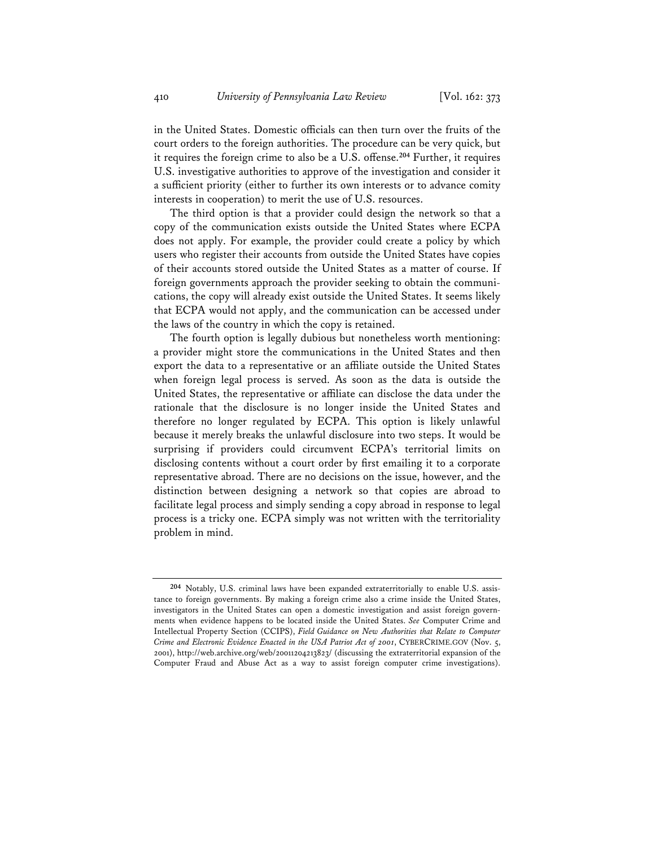in the United States. Domestic officials can then turn over the fruits of the court orders to the foreign authorities. The procedure can be very quick, but it requires the foreign crime to also be a U.S. offense.**<sup>204</sup>** Further, it requires U.S. investigative authorities to approve of the investigation and consider it a sufficient priority (either to further its own interests or to advance comity interests in cooperation) to merit the use of U.S. resources.

The third option is that a provider could design the network so that a copy of the communication exists outside the United States where ECPA does not apply. For example, the provider could create a policy by which users who register their accounts from outside the United States have copies of their accounts stored outside the United States as a matter of course. If foreign governments approach the provider seeking to obtain the communications, the copy will already exist outside the United States. It seems likely that ECPA would not apply, and the communication can be accessed under the laws of the country in which the copy is retained.

The fourth option is legally dubious but nonetheless worth mentioning: a provider might store the communications in the United States and then export the data to a representative or an affiliate outside the United States when foreign legal process is served. As soon as the data is outside the United States, the representative or affiliate can disclose the data under the rationale that the disclosure is no longer inside the United States and therefore no longer regulated by ECPA. This option is likely unlawful because it merely breaks the unlawful disclosure into two steps. It would be surprising if providers could circumvent ECPA's territorial limits on disclosing contents without a court order by first emailing it to a corporate representative abroad. There are no decisions on the issue, however, and the distinction between designing a network so that copies are abroad to facilitate legal process and simply sending a copy abroad in response to legal process is a tricky one. ECPA simply was not written with the territoriality problem in mind.

**<sup>204</sup>** Notably, U.S. criminal laws have been expanded extraterritorially to enable U.S. assistance to foreign governments. By making a foreign crime also a crime inside the United States, investigators in the United States can open a domestic investigation and assist foreign governments when evidence happens to be located inside the United States. *See* Computer Crime and Intellectual Property Section (CCIPS), *Field Guidance on New Authorities that Relate to Computer Crime and Electronic Evidence Enacted in the USA Patriot Act of 2001*, CYBERCRIME.GOV (Nov. 5, 2001), http://web.archive.org/web/20011204213823/ (discussing the extraterritorial expansion of the Computer Fraud and Abuse Act as a way to assist foreign computer crime investigations).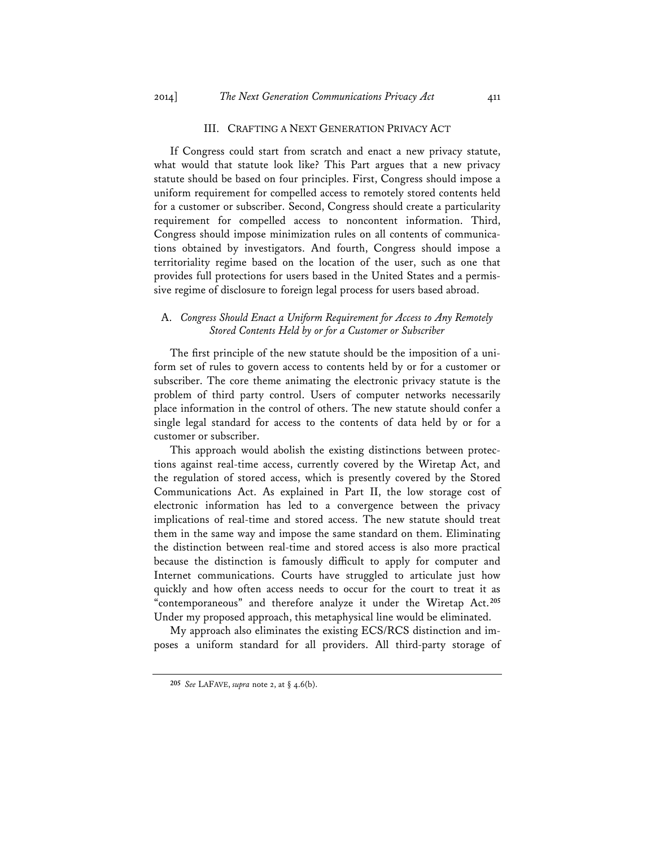# III. CRAFTING A NEXT GENERATION PRIVACY ACT

If Congress could start from scratch and enact a new privacy statute, what would that statute look like? This Part argues that a new privacy statute should be based on four principles. First, Congress should impose a uniform requirement for compelled access to remotely stored contents held for a customer or subscriber. Second, Congress should create a particularity requirement for compelled access to noncontent information. Third, Congress should impose minimization rules on all contents of communications obtained by investigators. And fourth, Congress should impose a territoriality regime based on the location of the user, such as one that provides full protections for users based in the United States and a permissive regime of disclosure to foreign legal process for users based abroad.

# A. *Congress Should Enact a Uniform Requirement for Access to Any Remotely Stored Contents Held by or for a Customer or Subscriber*

The first principle of the new statute should be the imposition of a uniform set of rules to govern access to contents held by or for a customer or subscriber. The core theme animating the electronic privacy statute is the problem of third party control. Users of computer networks necessarily place information in the control of others. The new statute should confer a single legal standard for access to the contents of data held by or for a customer or subscriber.

This approach would abolish the existing distinctions between protections against real-time access, currently covered by the Wiretap Act, and the regulation of stored access, which is presently covered by the Stored Communications Act. As explained in Part II, the low storage cost of electronic information has led to a convergence between the privacy implications of real-time and stored access. The new statute should treat them in the same way and impose the same standard on them. Eliminating the distinction between real-time and stored access is also more practical because the distinction is famously difficult to apply for computer and Internet communications. Courts have struggled to articulate just how quickly and how often access needs to occur for the court to treat it as "contemporaneous" and therefore analyze it under the Wiretap Act.**<sup>205</sup>** Under my proposed approach, this metaphysical line would be eliminated.

My approach also eliminates the existing ECS/RCS distinction and imposes a uniform standard for all providers. All third-party storage of

**<sup>205</sup>** *See* LAFAVE, *supra* note 2, at § 4.6(b).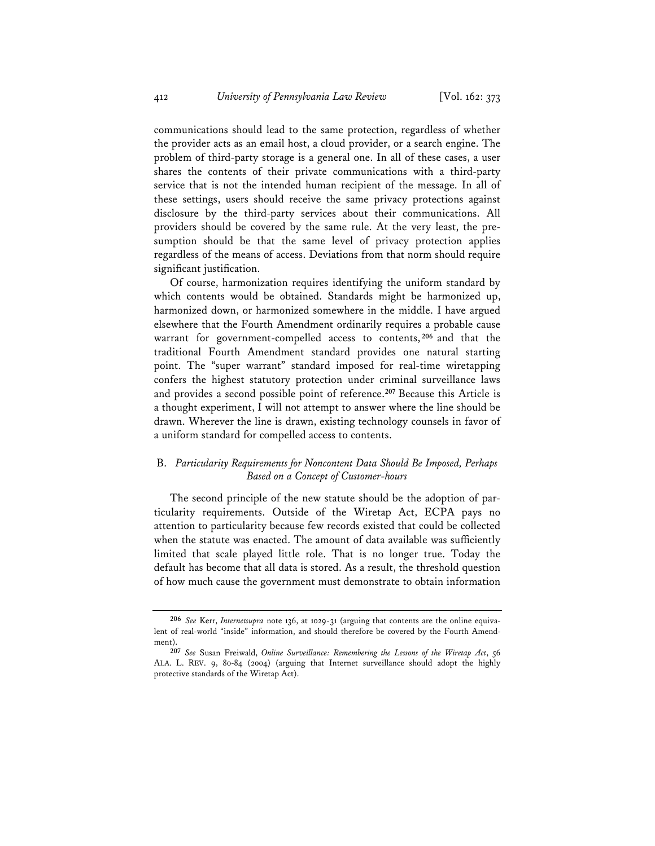communications should lead to the same protection, regardless of whether the provider acts as an email host, a cloud provider, or a search engine. The problem of third-party storage is a general one. In all of these cases, a user shares the contents of their private communications with a third-party service that is not the intended human recipient of the message. In all of these settings, users should receive the same privacy protections against disclosure by the third-party services about their communications. All providers should be covered by the same rule. At the very least, the presumption should be that the same level of privacy protection applies regardless of the means of access. Deviations from that norm should require significant justification.

Of course, harmonization requires identifying the uniform standard by which contents would be obtained. Standards might be harmonized up, harmonized down, or harmonized somewhere in the middle. I have argued elsewhere that the Fourth Amendment ordinarily requires a probable cause warrant for government-compelled access to contents, **<sup>206</sup>** and that the traditional Fourth Amendment standard provides one natural starting point. The "super warrant" standard imposed for real-time wiretapping confers the highest statutory protection under criminal surveillance laws and provides a second possible point of reference.**<sup>207</sup>** Because this Article is a thought experiment, I will not attempt to answer where the line should be drawn. Wherever the line is drawn, existing technology counsels in favor of a uniform standard for compelled access to contents.

# B. *Particularity Requirements for Noncontent Data Should Be Imposed, Perhaps Based on a Concept of Customer-hours*

The second principle of the new statute should be the adoption of particularity requirements. Outside of the Wiretap Act, ECPA pays no attention to particularity because few records existed that could be collected when the statute was enacted. The amount of data available was sufficiently limited that scale played little role. That is no longer true. Today the default has become that all data is stored. As a result, the threshold question of how much cause the government must demonstrate to obtain information

**<sup>206</sup>** *See* Kerr, *Internetsupra* note 136, at 1029-31 (arguing that contents are the online equivalent of real-world "inside" information, and should therefore be covered by the Fourth Amendment).

**<sup>207</sup>** *See* Susan Freiwald, *Online Surveillance: Remembering the Lessons of the Wiretap Act*, 56 ALA. L. REV. 9, 80-84 (2004) (arguing that Internet surveillance should adopt the highly protective standards of the Wiretap Act).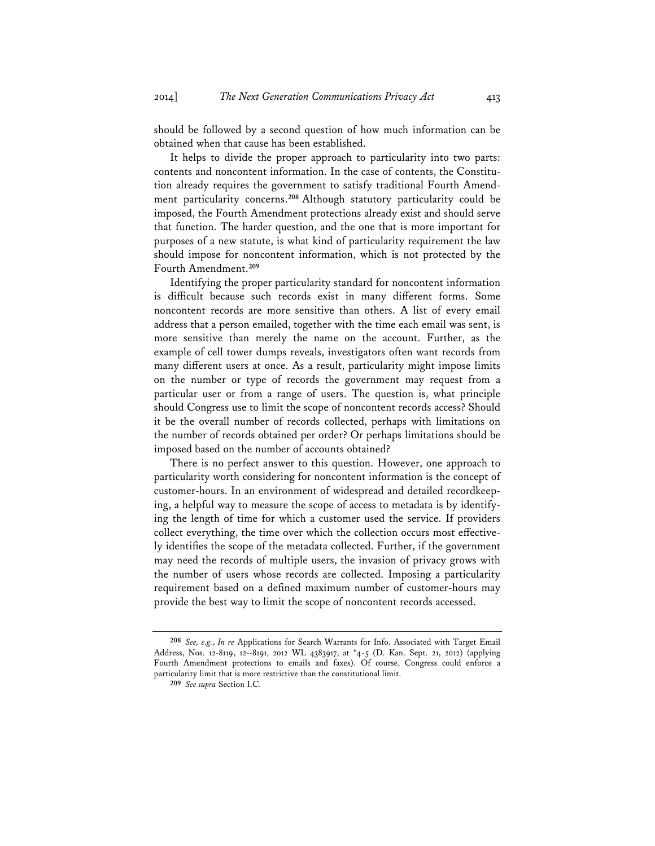should be followed by a second question of how much information can be obtained when that cause has been established.

It helps to divide the proper approach to particularity into two parts: contents and noncontent information. In the case of contents, the Constitution already requires the government to satisfy traditional Fourth Amendment particularity concerns.**<sup>208</sup>** Although statutory particularity could be imposed, the Fourth Amendment protections already exist and should serve that function. The harder question, and the one that is more important for purposes of a new statute, is what kind of particularity requirement the law should impose for noncontent information, which is not protected by the Fourth Amendment.**<sup>209</sup>**

Identifying the proper particularity standard for noncontent information is difficult because such records exist in many different forms. Some noncontent records are more sensitive than others. A list of every email address that a person emailed, together with the time each email was sent, is more sensitive than merely the name on the account. Further, as the example of cell tower dumps reveals, investigators often want records from many different users at once. As a result, particularity might impose limits on the number or type of records the government may request from a particular user or from a range of users. The question is, what principle should Congress use to limit the scope of noncontent records access? Should it be the overall number of records collected, perhaps with limitations on the number of records obtained per order? Or perhaps limitations should be imposed based on the number of accounts obtained?

There is no perfect answer to this question. However, one approach to particularity worth considering for noncontent information is the concept of customer-hours. In an environment of widespread and detailed recordkeeping, a helpful way to measure the scope of access to metadata is by identifying the length of time for which a customer used the service. If providers collect everything, the time over which the collection occurs most effectively identifies the scope of the metadata collected. Further, if the government may need the records of multiple users, the invasion of privacy grows with the number of users whose records are collected. Imposing a particularity requirement based on a defined maximum number of customer-hours may provide the best way to limit the scope of noncontent records accessed.

**<sup>208</sup>** *See, e.g.*, *In re* Applications for Search Warrants for Info. Associated with Target Email Address, Nos. 12-8119, 12--8191, 2012 WL 4383917, at \*4-5 (D. Kan. Sept. 21, 2012) (applying Fourth Amendment protections to emails and faxes). Of course, Congress could enforce a particularity limit that is more restrictive than the constitutional limit.

**<sup>209</sup>** *See supra* Section I.C.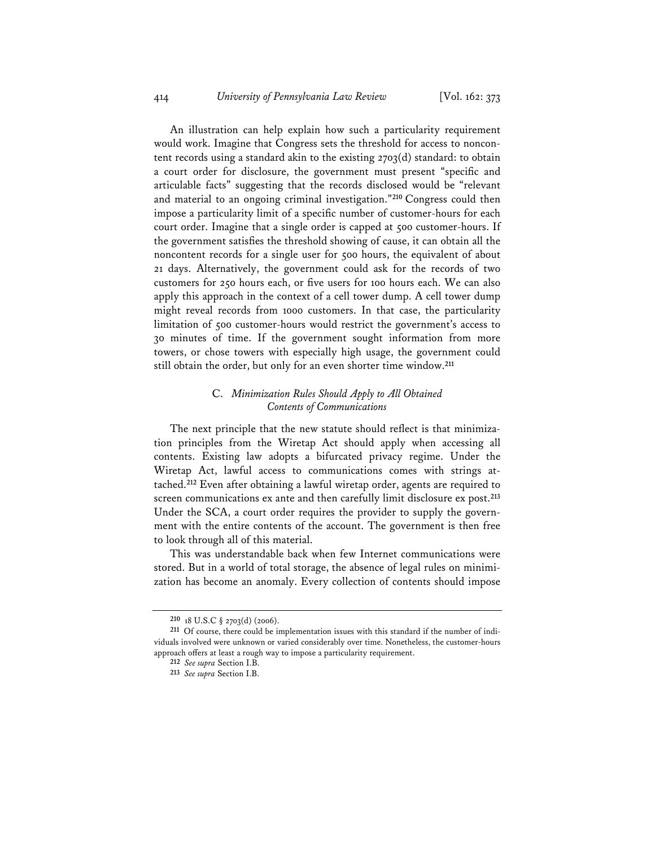An illustration can help explain how such a particularity requirement would work. Imagine that Congress sets the threshold for access to noncontent records using a standard akin to the existing 2703(d) standard: to obtain a court order for disclosure, the government must present "specific and articulable facts" suggesting that the records disclosed would be "relevant and material to an ongoing criminal investigation."**<sup>210</sup>** Congress could then impose a particularity limit of a specific number of customer-hours for each court order. Imagine that a single order is capped at 500 customer-hours. If the government satisfies the threshold showing of cause, it can obtain all the noncontent records for a single user for 500 hours, the equivalent of about 21 days. Alternatively, the government could ask for the records of two customers for 250 hours each, or five users for 100 hours each. We can also apply this approach in the context of a cell tower dump. A cell tower dump might reveal records from 1000 customers. In that case, the particularity limitation of 500 customer-hours would restrict the government's access to 30 minutes of time. If the government sought information from more towers, or chose towers with especially high usage, the government could still obtain the order, but only for an even shorter time window.**<sup>211</sup>**

# C. *Minimization Rules Should Apply to All Obtained Contents of Communications*

The next principle that the new statute should reflect is that minimization principles from the Wiretap Act should apply when accessing all contents. Existing law adopts a bifurcated privacy regime. Under the Wiretap Act, lawful access to communications comes with strings attached.**<sup>212</sup>** Even after obtaining a lawful wiretap order, agents are required to screen communications ex ante and then carefully limit disclosure ex post.**<sup>213</sup>** Under the SCA, a court order requires the provider to supply the government with the entire contents of the account. The government is then free to look through all of this material.

This was understandable back when few Internet communications were stored. But in a world of total storage, the absence of legal rules on minimization has become an anomaly. Every collection of contents should impose

**<sup>210</sup>** 18 U.S.C § 2703(d) (2006).

**<sup>211</sup>** Of course, there could be implementation issues with this standard if the number of individuals involved were unknown or varied considerably over time. Nonetheless, the customer-hours approach offers at least a rough way to impose a particularity requirement.

**<sup>212</sup>** *See supra* Section I.B.

**<sup>213</sup>** *See supra* Section I.B.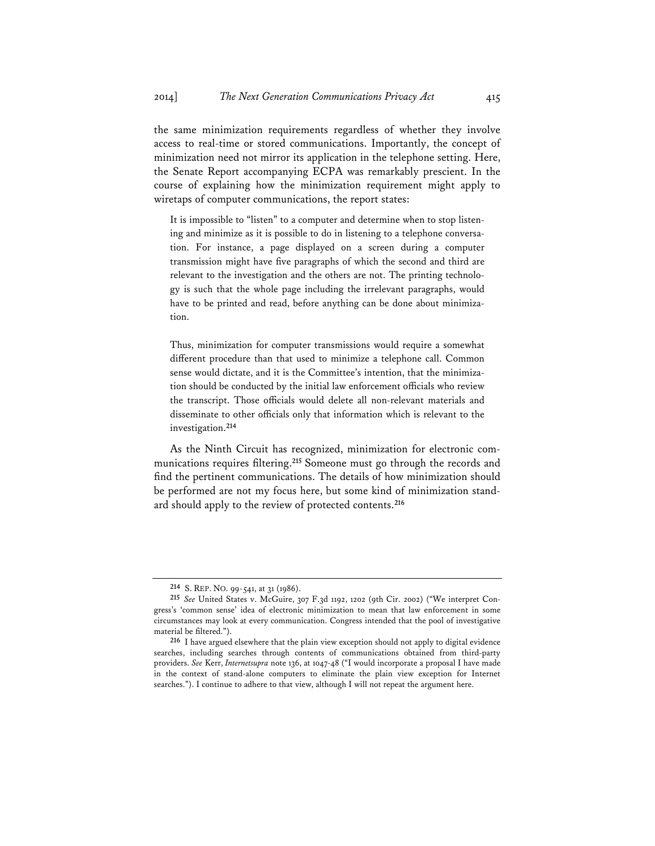the same minimization requirements regardless of whether they involve access to real-time or stored communications. Importantly, the concept of minimization need not mirror its application in the telephone setting. Here, the Senate Report accompanying ECPA was remarkably prescient. In the course of explaining how the minimization requirement might apply to wiretaps of computer communications, the report states:

It is impossible to "listen" to a computer and determine when to stop listening and minimize as it is possible to do in listening to a telephone conversation. For instance, a page displayed on a screen during a computer transmission might have five paragraphs of which the second and third are relevant to the investigation and the others are not. The printing technology is such that the whole page including the irrelevant paragraphs, would have to be printed and read, before anything can be done about minimization.

Thus, minimization for computer transmissions would require a somewhat different procedure than that used to minimize a telephone call. Common sense would dictate, and it is the Committee's intention, that the minimization should be conducted by the initial law enforcement officials who review the transcript. Those officials would delete all non-relevant materials and disseminate to other officials only that information which is relevant to the investigation.**<sup>214</sup>**

As the Ninth Circuit has recognized, minimization for electronic communications requires filtering.**<sup>215</sup>** Someone must go through the records and find the pertinent communications. The details of how minimization should be performed are not my focus here, but some kind of minimization standard should apply to the review of protected contents.**<sup>216</sup>**

**<sup>214</sup>** S. REP. NO. 99-541, at 31 (1986).

**<sup>215</sup>** *See* United States v. McGuire, 307 F.3d 1192, 1202 (9th Cir. 2002) ("We interpret Congress's 'common sense' idea of electronic minimization to mean that law enforcement in some circumstances may look at every communication. Congress intended that the pool of investigative material be filtered.").

**<sup>216</sup>** I have argued elsewhere that the plain view exception should not apply to digital evidence searches, including searches through contents of communications obtained from third-party providers. *See* Kerr, *Internetsupra* note 136, at 1047-48 ("I would incorporate a proposal I have made in the context of stand-alone computers to eliminate the plain view exception for Internet searches."). I continue to adhere to that view, although I will not repeat the argument here.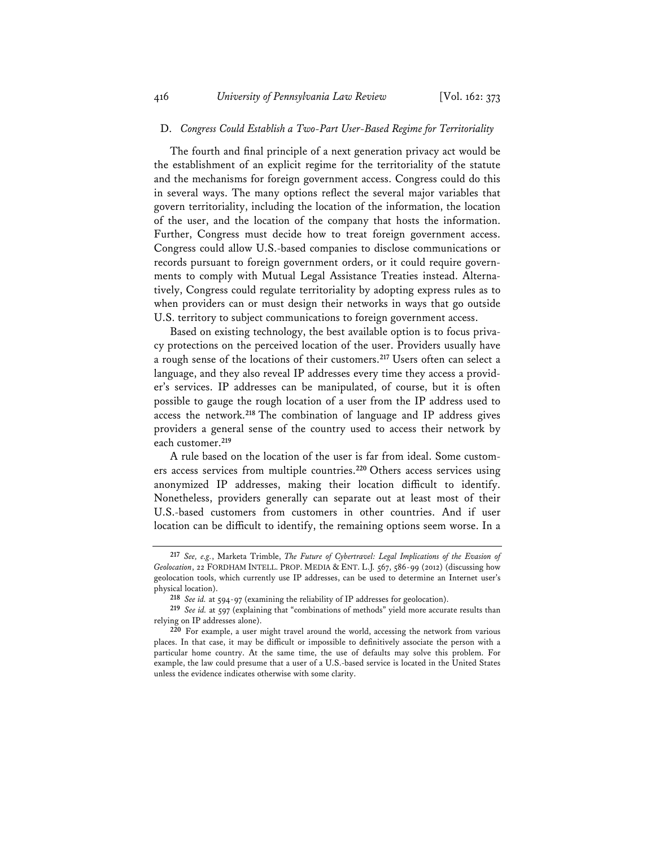#### D. *Congress Could Establish a Two-Part User-Based Regime for Territoriality*

The fourth and final principle of a next generation privacy act would be the establishment of an explicit regime for the territoriality of the statute and the mechanisms for foreign government access. Congress could do this in several ways. The many options reflect the several major variables that govern territoriality, including the location of the information, the location of the user, and the location of the company that hosts the information. Further, Congress must decide how to treat foreign government access. Congress could allow U.S.-based companies to disclose communications or records pursuant to foreign government orders, or it could require governments to comply with Mutual Legal Assistance Treaties instead. Alternatively, Congress could regulate territoriality by adopting express rules as to when providers can or must design their networks in ways that go outside U.S. territory to subject communications to foreign government access.

Based on existing technology, the best available option is to focus privacy protections on the perceived location of the user. Providers usually have a rough sense of the locations of their customers.**<sup>217</sup>** Users often can select a language, and they also reveal IP addresses every time they access a provider's services. IP addresses can be manipulated, of course, but it is often possible to gauge the rough location of a user from the IP address used to access the network.**<sup>218</sup>** The combination of language and IP address gives providers a general sense of the country used to access their network by each customer.**<sup>219</sup>**

A rule based on the location of the user is far from ideal. Some customers access services from multiple countries.**<sup>220</sup>** Others access services using anonymized IP addresses, making their location difficult to identify. Nonetheless, providers generally can separate out at least most of their U.S.-based customers from customers in other countries. And if user location can be difficult to identify, the remaining options seem worse. In a

**<sup>217</sup>** *See, e.g.*, Marketa Trimble, *The Future of Cybertravel: Legal Implications of the Evasion of Geolocation*, 22 FORDHAM INTELL. PROP. MEDIA & ENT. L.J. 567, 586-99 (2012) (discussing how geolocation tools, which currently use IP addresses, can be used to determine an Internet user's physical location).

**<sup>218</sup>** *See id.* at 594-97 (examining the reliability of IP addresses for geolocation).

**<sup>219</sup>** *See id.* at 597 (explaining that "combinations of methods" yield more accurate results than relying on IP addresses alone).

**<sup>220</sup>** For example, a user might travel around the world, accessing the network from various places. In that case, it may be difficult or impossible to definitively associate the person with a particular home country. At the same time, the use of defaults may solve this problem. For example, the law could presume that a user of a U.S.-based service is located in the United States unless the evidence indicates otherwise with some clarity.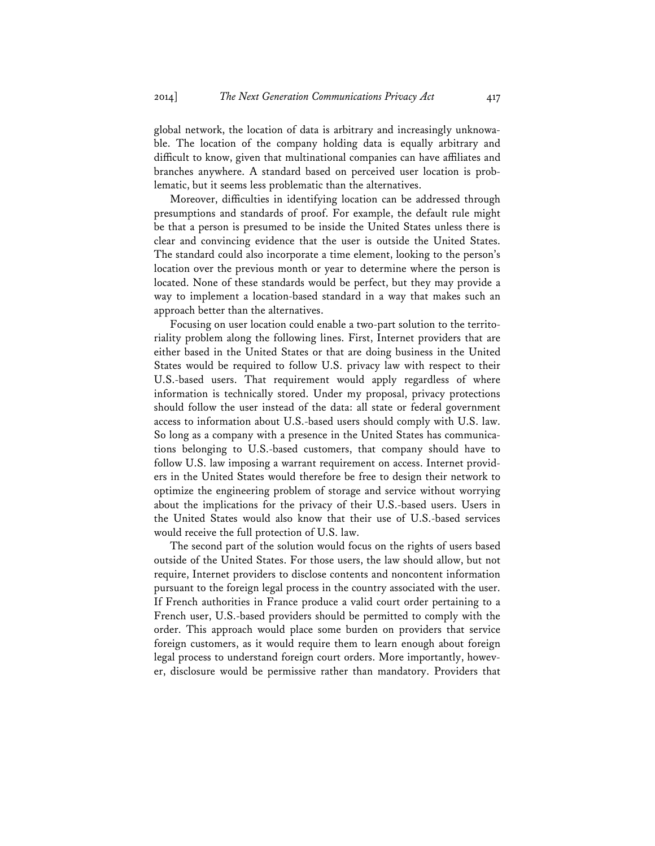global network, the location of data is arbitrary and increasingly unknowable. The location of the company holding data is equally arbitrary and difficult to know, given that multinational companies can have affiliates and branches anywhere. A standard based on perceived user location is problematic, but it seems less problematic than the alternatives.

Moreover, difficulties in identifying location can be addressed through presumptions and standards of proof. For example, the default rule might be that a person is presumed to be inside the United States unless there is clear and convincing evidence that the user is outside the United States. The standard could also incorporate a time element, looking to the person's location over the previous month or year to determine where the person is located. None of these standards would be perfect, but they may provide a way to implement a location-based standard in a way that makes such an approach better than the alternatives.

Focusing on user location could enable a two-part solution to the territoriality problem along the following lines. First, Internet providers that are either based in the United States or that are doing business in the United States would be required to follow U.S. privacy law with respect to their U.S.-based users. That requirement would apply regardless of where information is technically stored. Under my proposal, privacy protections should follow the user instead of the data: all state or federal government access to information about U.S.-based users should comply with U.S. law. So long as a company with a presence in the United States has communications belonging to U.S.-based customers, that company should have to follow U.S. law imposing a warrant requirement on access. Internet providers in the United States would therefore be free to design their network to optimize the engineering problem of storage and service without worrying about the implications for the privacy of their U.S.-based users. Users in the United States would also know that their use of U.S.-based services would receive the full protection of U.S. law.

The second part of the solution would focus on the rights of users based outside of the United States. For those users, the law should allow, but not require, Internet providers to disclose contents and noncontent information pursuant to the foreign legal process in the country associated with the user. If French authorities in France produce a valid court order pertaining to a French user, U.S.-based providers should be permitted to comply with the order. This approach would place some burden on providers that service foreign customers, as it would require them to learn enough about foreign legal process to understand foreign court orders. More importantly, however, disclosure would be permissive rather than mandatory. Providers that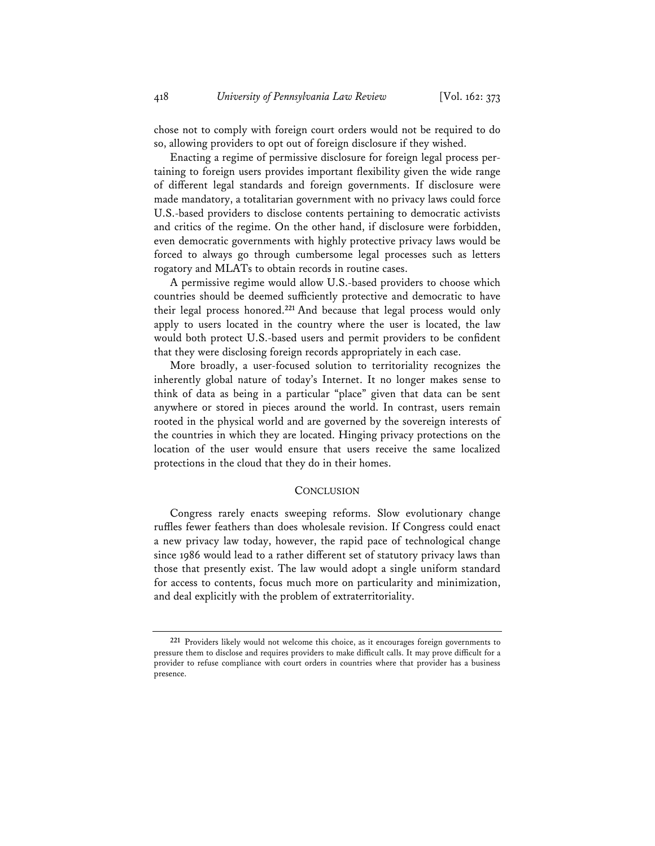chose not to comply with foreign court orders would not be required to do so, allowing providers to opt out of foreign disclosure if they wished.

Enacting a regime of permissive disclosure for foreign legal process pertaining to foreign users provides important flexibility given the wide range of different legal standards and foreign governments. If disclosure were made mandatory, a totalitarian government with no privacy laws could force U.S.-based providers to disclose contents pertaining to democratic activists and critics of the regime. On the other hand, if disclosure were forbidden, even democratic governments with highly protective privacy laws would be forced to always go through cumbersome legal processes such as letters rogatory and MLATs to obtain records in routine cases.

A permissive regime would allow U.S.-based providers to choose which countries should be deemed sufficiently protective and democratic to have their legal process honored.**<sup>221</sup>** And because that legal process would only apply to users located in the country where the user is located, the law would both protect U.S.-based users and permit providers to be confident that they were disclosing foreign records appropriately in each case.

More broadly, a user-focused solution to territoriality recognizes the inherently global nature of today's Internet. It no longer makes sense to think of data as being in a particular "place" given that data can be sent anywhere or stored in pieces around the world. In contrast, users remain rooted in the physical world and are governed by the sovereign interests of the countries in which they are located. Hinging privacy protections on the location of the user would ensure that users receive the same localized protections in the cloud that they do in their homes.

#### **CONCLUSION**

Congress rarely enacts sweeping reforms. Slow evolutionary change ruffles fewer feathers than does wholesale revision. If Congress could enact a new privacy law today, however, the rapid pace of technological change since 1986 would lead to a rather different set of statutory privacy laws than those that presently exist. The law would adopt a single uniform standard for access to contents, focus much more on particularity and minimization, and deal explicitly with the problem of extraterritoriality.

**<sup>221</sup>** Providers likely would not welcome this choice, as it encourages foreign governments to pressure them to disclose and requires providers to make difficult calls. It may prove difficult for a provider to refuse compliance with court orders in countries where that provider has a business presence.